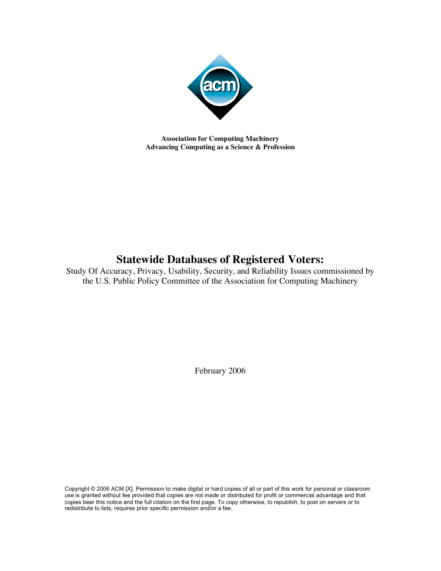

**Association for Computing Machinery Advancing Computing as a Science & Profession**

# **Statewide Databases of Registered Voters:**

Study Of Accuracy, Privacy, Usability, Security, and Reliability Issues commissioned by the U.S. Public Policy Committee of the Association for Computing Machinery

February 2006

Copyright © 2006 ACM [X]. Permission to make digital or hard copies of all or part of this work for personal or classroom use is granted without fee provided that copies are not made or distributed for profit or commercial advantage and that copies bear this notice and the full citation on the first page. To copy otherwise, to republish, to post on servers or to redistribute to lists, requires prior specific permission and/or a fee.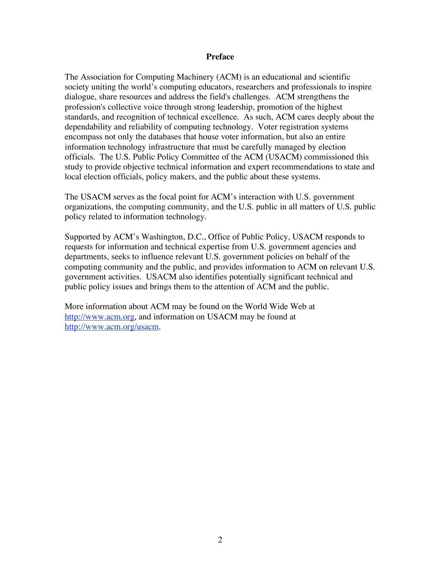#### **Preface**

The Association for Computing Machinery (ACM) is an educational and scientific society uniting the world's computing educators, researchers and professionals to inspire dialogue, share resources and address the field's challenges. ACM strengthens the profession's collective voice through strong leadership, promotion of the highest standards, and recognition of technical excellence. As such, ACM cares deeply about the dependability and reliability of computing technology. Voter registration systems encompass not only the databases that house voter information, but also an entire information technology infrastructure that must be carefully managed by election officials. The U.S. Public Policy Committee of the ACM (USACM) commissioned this study to provide objective technical information and expert recommendations to state and local election officials, policy makers, and the public about these systems.

The USACM serves as the focal point for ACM's interaction with U.S. government organizations, the computing community, and the U.S. public in all matters of U.S. public policy related to information technology.

Supported by ACM's Washington, D.C., Office of Public Policy, USACM responds to requests for information and technical expertise from U.S. government agencies and departments, seeks to influence relevant U.S. government policies on behalf of the computing community and the public, and provides information to ACM on relevant U.S. government activities. USACM also identifies potentially significant technical and public policy issues and brings them to the attention of ACM and the public.

More information about ACM may be found on the World Wide Web at http://www.acm.org, and information on USACM may be found at http://www.acm.org/usacm.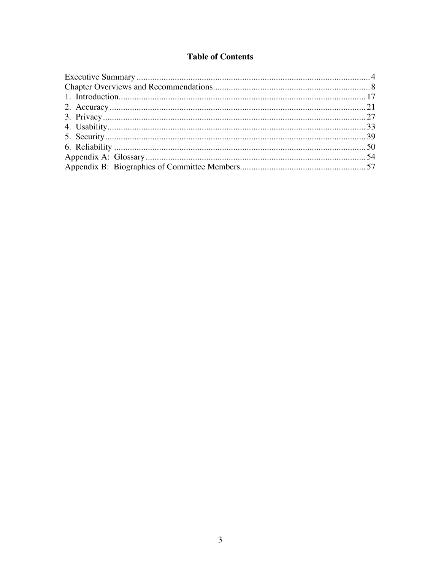## **Table of Contents**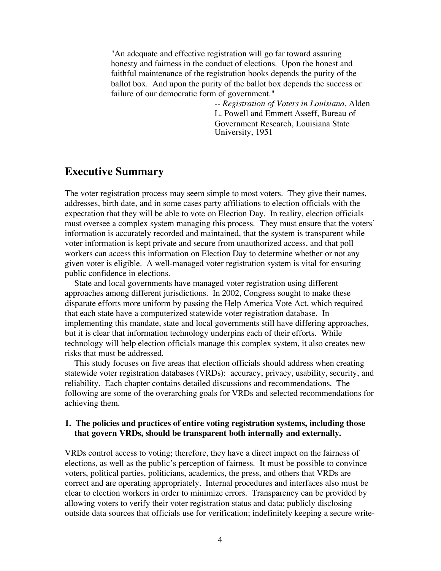"An adequate and effective registration will go far toward assuring honesty and fairness in the conduct of elections. Upon the honest and faithful maintenance of the registration books depends the purity of the ballot box. And upon the purity of the ballot box depends the success or failure of our democratic form of government."

> -- *Registration of Voters in Louisiana*, Alden L. Powell and Emmett Asseff, Bureau of Government Research, Louisiana State University, 1951

## **Executive Summary**

The voter registration process may seem simple to most voters. They give their names, addresses, birth date, and in some cases party affiliations to election officials with the expectation that they will be able to vote on Election Day. In reality, election officials must oversee a complex system managing this process. They must ensure that the voters' information is accurately recorded and maintained, that the system is transparent while voter information is kept private and secure from unauthorized access, and that poll workers can access this information on Election Day to determine whether or not any given voter is eligible. A well-managed voter registration system is vital for ensuring public confidence in elections.

State and local governments have managed voter registration using different approaches among different jurisdictions. In 2002, Congress sought to make these disparate efforts more uniform by passing the Help America Vote Act, which required that each state have a computerized statewide voter registration database. In implementing this mandate, state and local governments still have differing approaches, but it is clear that information technology underpins each of their efforts. While technology will help election officials manage this complex system, it also creates new risks that must be addressed.

This study focuses on five areas that election officials should address when creating statewide voter registration databases (VRDs): accuracy, privacy, usability, security, and reliability. Each chapter contains detailed discussions and recommendations. The following are some of the overarching goals for VRDs and selected recommendations for achieving them.

#### **1. The policies and practices of entire voting registration systems, including those that govern VRDs, should be transparent both internally and externally.**

VRDs control access to voting; therefore, they have a direct impact on the fairness of elections, as well as the public's perception of fairness. It must be possible to convince voters, political parties, politicians, academics, the press, and others that VRDs are correct and are operating appropriately. Internal procedures and interfaces also must be clear to election workers in order to minimize errors. Transparency can be provided by allowing voters to verify their voter registration status and data; publicly disclosing outside data sources that officials use for verification; indefinitely keeping a secure write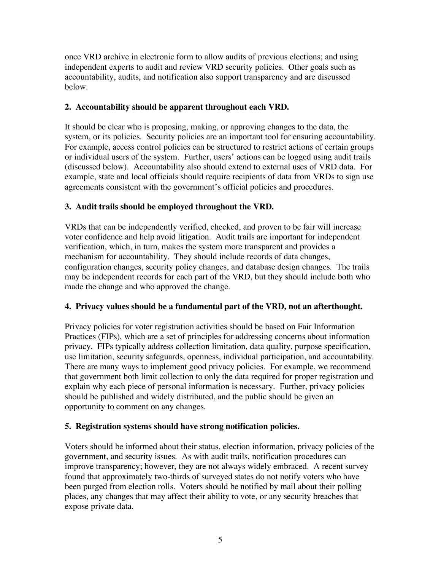once VRD archive in electronic form to allow audits of previous elections; and using independent experts to audit and review VRD security policies. Other goals such as accountability, audits, and notification also support transparency and are discussed below.

#### **2. Accountability should be apparent throughout each VRD.**

It should be clear who is proposing, making, or approving changes to the data, the system, or its policies. Security policies are an important tool for ensuring accountability. For example, access control policies can be structured to restrict actions of certain groups or individual users of the system. Further, users' actions can be logged using audit trails (discussed below). Accountability also should extend to external uses of VRD data. For example, state and local officials should require recipients of data from VRDs to sign use agreements consistent with the government's official policies and procedures.

#### **3. Audit trails should be employed throughout the VRD.**

VRDs that can be independently verified, checked, and proven to be fair will increase voter confidence and help avoid litigation. Audit trails are important for independent verification, which, in turn, makes the system more transparent and provides a mechanism for accountability. They should include records of data changes, configuration changes, security policy changes, and database design changes. The trails may be independent records for each part of the VRD, but they should include both who made the change and who approved the change.

#### **4. Privacy values should be a fundamental part of the VRD, not an afterthought.**

Privacy policies for voter registration activities should be based on Fair Information Practices (FIPs), which are a set of principles for addressing concerns about information privacy. FIPs typically address collection limitation, data quality, purpose specification, use limitation, security safeguards, openness, individual participation, and accountability. There are many ways to implement good privacy policies. For example, we recommend that government both limit collection to only the data required for proper registration and explain why each piece of personal information is necessary. Further, privacy policies should be published and widely distributed, and the public should be given an opportunity to comment on any changes.

#### **5. Registration systems should have strong notification policies.**

Voters should be informed about their status, election information, privacy policies of the government, and security issues. As with audit trails, notification procedures can improve transparency; however, they are not always widely embraced. A recent survey found that approximately two-thirds of surveyed states do not notify voters who have been purged from election rolls. Voters should be notified by mail about their polling places, any changes that may affect their ability to vote, or any security breaches that expose private data.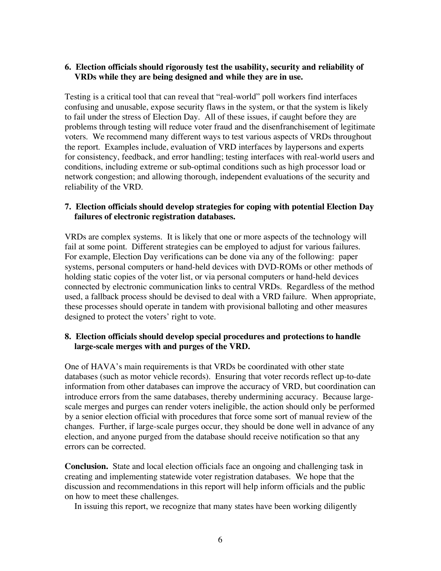#### **6. Election officials should rigorously test the usability, security and reliability of VRDs while they are being designed and while they are in use.**

Testing is a critical tool that can reveal that "real-world" poll workers find interfaces confusing and unusable, expose security flaws in the system, or that the system is likely to fail under the stress of Election Day. All of these issues, if caught before they are problems through testing will reduce voter fraud and the disenfranchisement of legitimate voters. We recommend many different ways to test various aspects of VRDs throughout the report. Examples include, evaluation of VRD interfaces by laypersons and experts for consistency, feedback, and error handling; testing interfaces with real-world users and conditions, including extreme or sub-optimal conditions such as high processor load or network congestion; and allowing thorough, independent evaluations of the security and reliability of the VRD.

#### **7. Election officials should develop strategies for coping with potential Election Day failures of electronic registration databases.**

VRDs are complex systems. It is likely that one or more aspects of the technology will fail at some point. Different strategies can be employed to adjust for various failures. For example, Election Day verifications can be done via any of the following: paper systems, personal computers or hand-held devices with DVD-ROMs or other methods of holding static copies of the voter list, or via personal computers or hand-held devices connected by electronic communication links to central VRDs. Regardless of the method used, a fallback process should be devised to deal with a VRD failure. When appropriate, these processes should operate in tandem with provisional balloting and other measures designed to protect the voters' right to vote.

#### **8. Election officials should develop special procedures and protections to handle large-scale merges with and purges of the VRD.**

One of HAVA's main requirements is that VRDs be coordinated with other state databases (such as motor vehicle records). Ensuring that voter records reflect up-to-date information from other databases can improve the accuracy of VRD, but coordination can introduce errors from the same databases, thereby undermining accuracy. Because largescale merges and purges can render voters ineligible, the action should only be performed by a senior election official with procedures that force some sort of manual review of the changes. Further, if large-scale purges occur, they should be done well in advance of any election, and anyone purged from the database should receive notification so that any errors can be corrected.

**Conclusion.** State and local election officials face an ongoing and challenging task in creating and implementing statewide voter registration databases. We hope that the discussion and recommendations in this report will help inform officials and the public on how to meet these challenges.

In issuing this report, we recognize that many states have been working diligently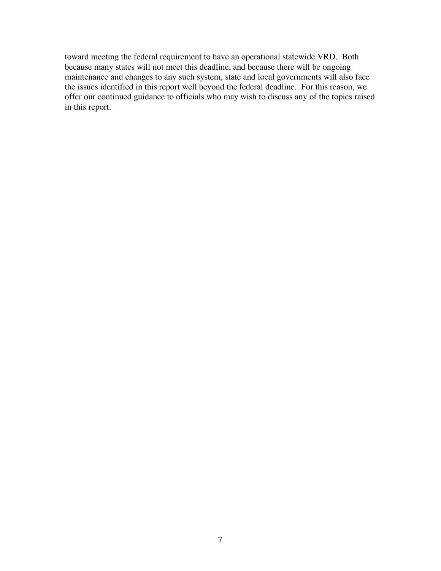toward meeting the federal requirement to have an operational statewide VRD. Both because many states will not meet this deadline, and because there will be ongoing maintenance and changes to any such system, state and local governments will also face the issues identified in this report well beyond the federal deadline. For this reason, we offer our continued guidance to officials who may wish to discuss any of the topics raised in this report.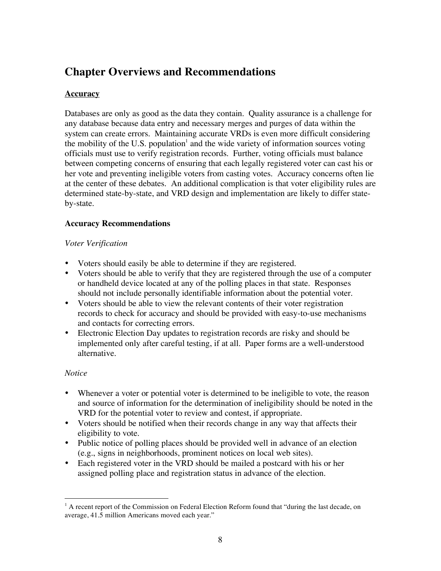# **Chapter Overviews and Recommendations**

## **Accuracy**

Databases are only as good as the data they contain. Quality assurance is a challenge for any database because data entry and necessary merges and purges of data within the system can create errors. Maintaining accurate VRDs is even more difficult considering the mobility of the U.S. population<sup>1</sup> and the wide variety of information sources voting officials must use to verify registration records. Further, voting officials must balance between competing concerns of ensuring that each legally registered voter can cast his or her vote and preventing ineligible voters from casting votes. Accuracy concerns often lie at the center of these debates. An additional complication is that voter eligibility rules are determined state-by-state, and VRD design and implementation are likely to differ stateby-state.

#### **Accuracy Recommendations**

#### *Voter Verification*

- Voters should easily be able to determine if they are registered.
- Voters should be able to verify that they are registered through the use of a computer or handheld device located at any of the polling places in that state. Responses should not include personally identifiable information about the potential voter.
- Voters should be able to view the relevant contents of their voter registration records to check for accuracy and should be provided with easy-to-use mechanisms and contacts for correcting errors.
- Electronic Election Day updates to registration records are risky and should be implemented only after careful testing, if at all. Paper forms are a well-understood alternative.

#### *Notice*

- Whenever a voter or potential voter is determined to be ineligible to vote, the reason and source of information for the determination of ineligibility should be noted in the VRD for the potential voter to review and contest, if appropriate.
- Voters should be notified when their records change in any way that affects their eligibility to vote.
- Public notice of polling places should be provided well in advance of an election (e.g., signs in neighborhoods, prominent notices on local web sites).
- Each registered voter in the VRD should be mailed a postcard with his or her assigned polling place and registration status in advance of the election.

 $<sup>1</sup>$  A recent report of the Commission on Federal Election Reform found that "during the last decade, on</sup> average, 41.5 million Americans moved each year."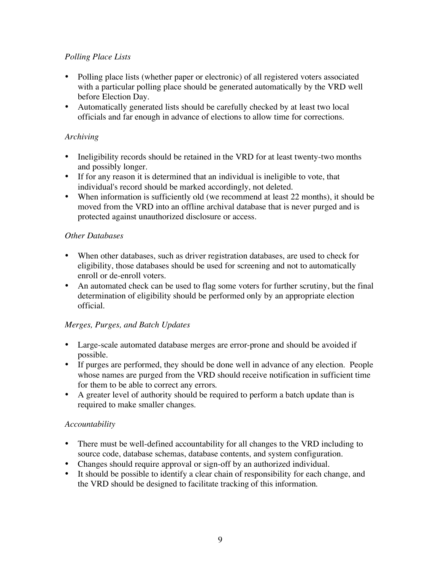## *Polling Place Lists*

- Polling place lists (whether paper or electronic) of all registered voters associated with a particular polling place should be generated automatically by the VRD well before Election Day.
- Automatically generated lists should be carefully checked by at least two local officials and far enough in advance of elections to allow time for corrections.

## *Archiving*

- Ineligibility records should be retained in the VRD for at least twenty-two months and possibly longer.
- If for any reason it is determined that an individual is ineligible to vote, that individual's record should be marked accordingly, not deleted.
- When information is sufficiently old (we recommend at least 22 months), it should be moved from the VRD into an offline archival database that is never purged and is protected against unauthorized disclosure or access.

#### *Other Databases*

- When other databases, such as driver registration databases, are used to check for eligibility, those databases should be used for screening and not to automatically enroll or de-enroll voters.
- An automated check can be used to flag some voters for further scrutiny, but the final determination of eligibility should be performed only by an appropriate election official.

#### *Merges, Purges, and Batch Updates*

- Large-scale automated database merges are error-prone and should be avoided if possible.
- If purges are performed, they should be done well in advance of any election. People whose names are purged from the VRD should receive notification in sufficient time for them to be able to correct any errors.
- A greater level of authority should be required to perform a batch update than is required to make smaller changes.

#### *Accountability*

- There must be well-defined accountability for all changes to the VRD including to source code, database schemas, database contents, and system configuration.
- Changes should require approval or sign-off by an authorized individual.
- It should be possible to identify a clear chain of responsibility for each change, and the VRD should be designed to facilitate tracking of this information.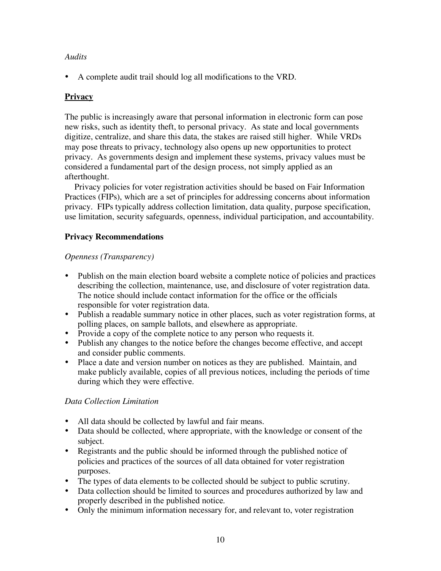#### *Audits*

• A complete audit trail should log all modifications to the VRD.

## **Privacy**

The public is increasingly aware that personal information in electronic form can pose new risks, such as identity theft, to personal privacy. As state and local governments digitize, centralize, and share this data, the stakes are raised still higher. While VRDs may pose threats to privacy, technology also opens up new opportunities to protect privacy. As governments design and implement these systems, privacy values must be considered a fundamental part of the design process, not simply applied as an afterthought.

Privacy policies for voter registration activities should be based on Fair Information Practices (FIPs), which are a set of principles for addressing concerns about information privacy. FIPs typically address collection limitation, data quality, purpose specification, use limitation, security safeguards, openness, individual participation, and accountability.

#### **Privacy Recommendations**

#### *Openness (Transparency)*

- Publish on the main election board website a complete notice of policies and practices describing the collection, maintenance, use, and disclosure of voter registration data. The notice should include contact information for the office or the officials responsible for voter registration data.
- Publish a readable summary notice in other places, such as voter registration forms, at polling places, on sample ballots, and elsewhere as appropriate.
- Provide a copy of the complete notice to any person who requests it.
- Publish any changes to the notice before the changes become effective, and accept and consider public comments.
- Place a date and version number on notices as they are published. Maintain, and make publicly available, copies of all previous notices, including the periods of time during which they were effective.

#### *Data Collection Limitation*

- All data should be collected by lawful and fair means.
- Data should be collected, where appropriate, with the knowledge or consent of the subject.
- Registrants and the public should be informed through the published notice of policies and practices of the sources of all data obtained for voter registration purposes.
- The types of data elements to be collected should be subject to public scrutiny.
- Data collection should be limited to sources and procedures authorized by law and properly described in the published notice.
- Only the minimum information necessary for, and relevant to, voter registration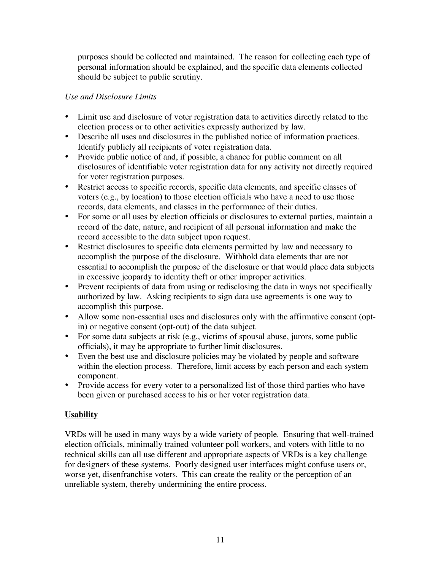purposes should be collected and maintained. The reason for collecting each type of personal information should be explained, and the specific data elements collected should be subject to public scrutiny.

## *Use and Disclosure Limits*

- Limit use and disclosure of voter registration data to activities directly related to the election process or to other activities expressly authorized by law.
- Describe all uses and disclosures in the published notice of information practices. Identify publicly all recipients of voter registration data.
- Provide public notice of and, if possible, a chance for public comment on all disclosures of identifiable voter registration data for any activity not directly required for voter registration purposes.
- Restrict access to specific records, specific data elements, and specific classes of voters (e.g., by location) to those election officials who have a need to use those records, data elements, and classes in the performance of their duties.
- For some or all uses by election officials or disclosures to external parties, maintain a record of the date, nature, and recipient of all personal information and make the record accessible to the data subject upon request.
- Restrict disclosures to specific data elements permitted by law and necessary to accomplish the purpose of the disclosure. Withhold data elements that are not essential to accomplish the purpose of the disclosure or that would place data subjects in excessive jeopardy to identity theft or other improper activities.
- Prevent recipients of data from using or redisclosing the data in ways not specifically authorized by law. Asking recipients to sign data use agreements is one way to accomplish this purpose.
- Allow some non-essential uses and disclosures only with the affirmative consent (optin) or negative consent (opt-out) of the data subject.
- For some data subjects at risk (e.g., victims of spousal abuse, jurors, some public officials), it may be appropriate to further limit disclosures.
- Even the best use and disclosure policies may be violated by people and software within the election process. Therefore, limit access by each person and each system component.
- Provide access for every voter to a personalized list of those third parties who have been given or purchased access to his or her voter registration data.

## **Usability**

VRDs will be used in many ways by a wide variety of people. Ensuring that well-trained election officials, minimally trained volunteer poll workers, and voters with little to no technical skills can all use different and appropriate aspects of VRDs is a key challenge for designers of these systems. Poorly designed user interfaces might confuse users or, worse yet, disenfranchise voters. This can create the reality or the perception of an unreliable system, thereby undermining the entire process.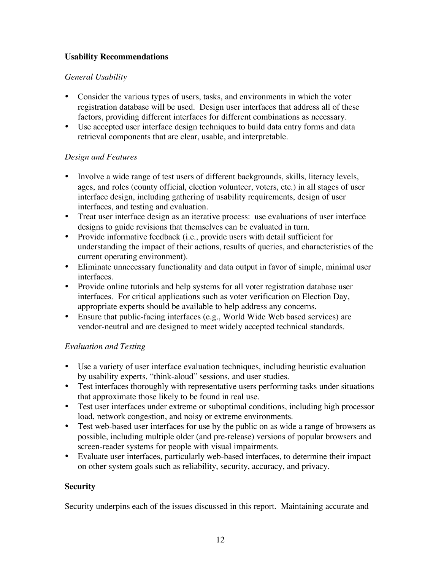#### **Usability Recommendations**

## *General Usability*

- Consider the various types of users, tasks, and environments in which the voter registration database will be used. Design user interfaces that address all of these factors, providing different interfaces for different combinations as necessary.
- Use accepted user interface design techniques to build data entry forms and data retrieval components that are clear, usable, and interpretable.

## *Design and Features*

- Involve a wide range of test users of different backgrounds, skills, literacy levels, ages, and roles (county official, election volunteer, voters, etc.) in all stages of user interface design, including gathering of usability requirements, design of user interfaces, and testing and evaluation.
- Treat user interface design as an iterative process: use evaluations of user interface designs to guide revisions that themselves can be evaluated in turn.
- Provide informative feedback (i.e., provide users with detail sufficient for understanding the impact of their actions, results of queries, and characteristics of the current operating environment).
- Eliminate unnecessary functionality and data output in favor of simple, minimal user interfaces.
- Provide online tutorials and help systems for all voter registration database user interfaces. For critical applications such as voter verification on Election Day, appropriate experts should be available to help address any concerns.
- Ensure that public-facing interfaces (e.g., World Wide Web based services) are vendor-neutral and are designed to meet widely accepted technical standards.

## *Evaluation and Testing*

- Use a variety of user interface evaluation techniques, including heuristic evaluation by usability experts, "think-aloud" sessions, and user studies.
- Test interfaces thoroughly with representative users performing tasks under situations that approximate those likely to be found in real use.
- Test user interfaces under extreme or suboptimal conditions, including high processor load, network congestion, and noisy or extreme environments.
- Test web-based user interfaces for use by the public on as wide a range of browsers as possible, including multiple older (and pre-release) versions of popular browsers and screen-reader systems for people with visual impairments.
- Evaluate user interfaces, particularly web-based interfaces, to determine their impact on other system goals such as reliability, security, accuracy, and privacy.

## **Security**

Security underpins each of the issues discussed in this report. Maintaining accurate and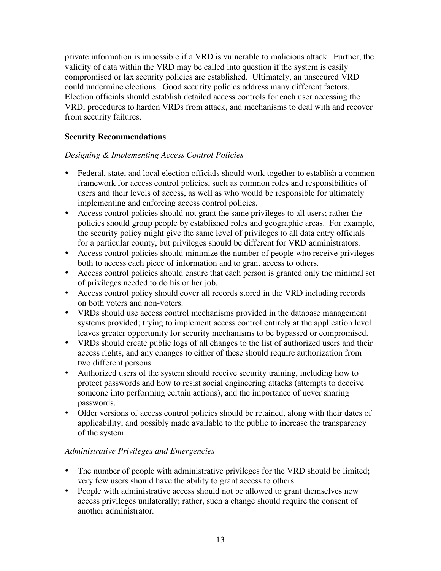private information is impossible if a VRD is vulnerable to malicious attack. Further, the validity of data within the VRD may be called into question if the system is easily compromised or lax security policies are established. Ultimately, an unsecured VRD could undermine elections. Good security policies address many different factors. Election officials should establish detailed access controls for each user accessing the VRD, procedures to harden VRDs from attack, and mechanisms to deal with and recover from security failures.

## **Security Recommendations**

## *Designing & Implementing Access Control Policies*

- Federal, state, and local election officials should work together to establish a common framework for access control policies, such as common roles and responsibilities of users and their levels of access, as well as who would be responsible for ultimately implementing and enforcing access control policies.
- Access control policies should not grant the same privileges to all users; rather the policies should group people by established roles and geographic areas. For example, the security policy might give the same level of privileges to all data entry officials for a particular county, but privileges should be different for VRD administrators.
- Access control policies should minimize the number of people who receive privileges both to access each piece of information and to grant access to others.
- Access control policies should ensure that each person is granted only the minimal set of privileges needed to do his or her job.
- Access control policy should cover all records stored in the VRD including records on both voters and non-voters.
- VRDs should use access control mechanisms provided in the database management systems provided; trying to implement access control entirely at the application level leaves greater opportunity for security mechanisms to be bypassed or compromised.
- VRDs should create public logs of all changes to the list of authorized users and their access rights, and any changes to either of these should require authorization from two different persons.
- Authorized users of the system should receive security training, including how to protect passwords and how to resist social engineering attacks (attempts to deceive someone into performing certain actions), and the importance of never sharing passwords.
- Older versions of access control policies should be retained, along with their dates of applicability, and possibly made available to the public to increase the transparency of the system.

#### *Administrative Privileges and Emergencies*

- The number of people with administrative privileges for the VRD should be limited; very few users should have the ability to grant access to others.
- People with administrative access should not be allowed to grant themselves new access privileges unilaterally; rather, such a change should require the consent of another administrator.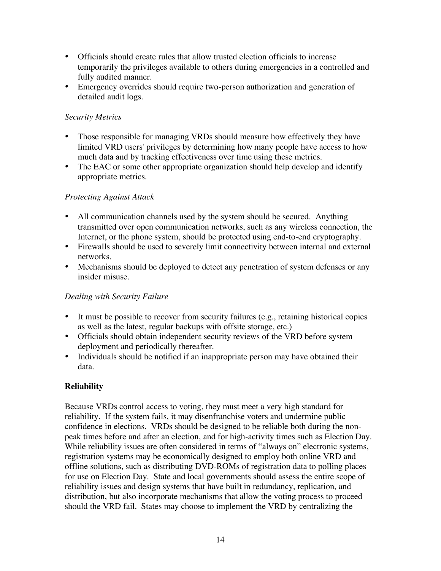- Officials should create rules that allow trusted election officials to increase temporarily the privileges available to others during emergencies in a controlled and fully audited manner.
- Emergency overrides should require two-person authorization and generation of detailed audit logs.

## *Security Metrics*

- Those responsible for managing VRDs should measure how effectively they have limited VRD users' privileges by determining how many people have access to how much data and by tracking effectiveness over time using these metrics.
- The EAC or some other appropriate organization should help develop and identify appropriate metrics.

#### *Protecting Against Attack*

- All communication channels used by the system should be secured. Anything transmitted over open communication networks, such as any wireless connection, the Internet, or the phone system, should be protected using end-to-end cryptography.
- Firewalls should be used to severely limit connectivity between internal and external networks.
- Mechanisms should be deployed to detect any penetration of system defenses or any insider misuse.

#### *Dealing with Security Failure*

- It must be possible to recover from security failures (e.g., retaining historical copies as well as the latest, regular backups with offsite storage, etc.)
- Officials should obtain independent security reviews of the VRD before system deployment and periodically thereafter.
- Individuals should be notified if an inappropriate person may have obtained their data.

## **Reliability**

Because VRDs control access to voting, they must meet a very high standard for reliability. If the system fails, it may disenfranchise voters and undermine public confidence in elections. VRDs should be designed to be reliable both during the nonpeak times before and after an election, and for high-activity times such as Election Day. While reliability issues are often considered in terms of "always on" electronic systems, registration systems may be economically designed to employ both online VRD and offline solutions, such as distributing DVD-ROMs of registration data to polling places for use on Election Day. State and local governments should assess the entire scope of reliability issues and design systems that have built in redundancy, replication, and distribution, but also incorporate mechanisms that allow the voting process to proceed should the VRD fail. States may choose to implement the VRD by centralizing the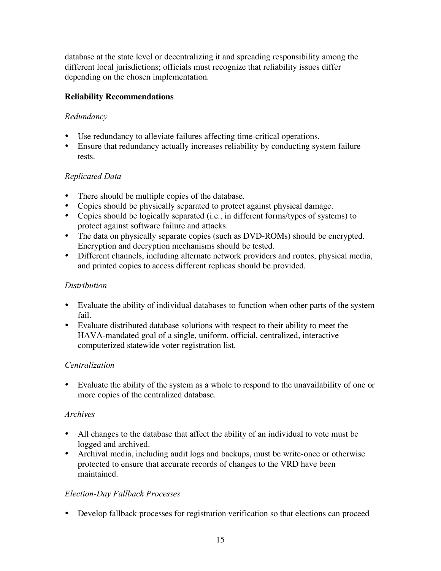database at the state level or decentralizing it and spreading responsibility among the different local jurisdictions; officials must recognize that reliability issues differ depending on the chosen implementation.

## **Reliability Recommendations**

## *Redundancy*

- Use redundancy to alleviate failures affecting time-critical operations.
- Ensure that redundancy actually increases reliability by conducting system failure tests.

## *Replicated Data*

- There should be multiple copies of the database.
- Copies should be physically separated to protect against physical damage.
- Copies should be logically separated (i.e., in different forms/types of systems) to protect against software failure and attacks.
- The data on physically separate copies (such as DVD-ROMs) should be encrypted. Encryption and decryption mechanisms should be tested.
- Different channels, including alternate network providers and routes, physical media, and printed copies to access different replicas should be provided.

## *Distribution*

- Evaluate the ability of individual databases to function when other parts of the system fail.
- Evaluate distributed database solutions with respect to their ability to meet the HAVA-mandated goal of a single, uniform, official, centralized, interactive computerized statewide voter registration list.

## *Centralization*

• Evaluate the ability of the system as a whole to respond to the unavailability of one or more copies of the centralized database.

## *Archives*

- All changes to the database that affect the ability of an individual to vote must be logged and archived.
- Archival media, including audit logs and backups, must be write-once or otherwise protected to ensure that accurate records of changes to the VRD have been maintained.

## *Election-Day Fallback Processes*

• Develop fallback processes for registration verification so that elections can proceed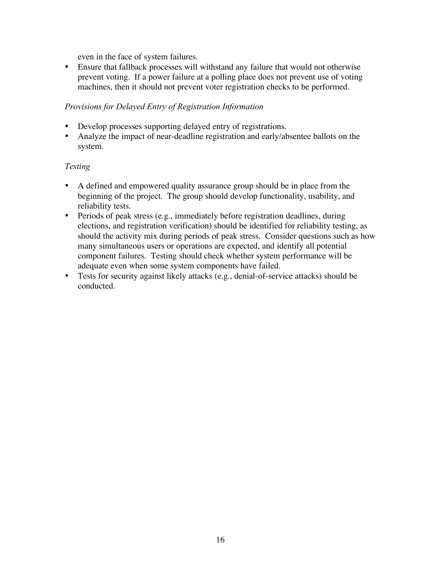even in the face of system failures.

• Ensure that fallback processes will withstand any failure that would not otherwise prevent voting. If a power failure at a polling place does not prevent use of voting machines, then it should not prevent voter registration checks to be performed.

## *Provisions for Delayed Entry of Registration Information*

- Develop processes supporting delayed entry of registrations.
- Analyze the impact of near-deadline registration and early/absentee ballots on the system.

## *Testing*

- A defined and empowered quality assurance group should be in place from the beginning of the project. The group should develop functionality, usability, and reliability tests.
- Periods of peak stress (e.g., immediately before registration deadlines, during elections, and registration verification) should be identified for reliability testing, as should the activity mix during periods of peak stress. Consider questions such as how many simultaneous users or operations are expected, and identify all potential component failures. Testing should check whether system performance will be adequate even when some system components have failed.
- Tests for security against likely attacks (e.g., denial-of-service attacks) should be conducted.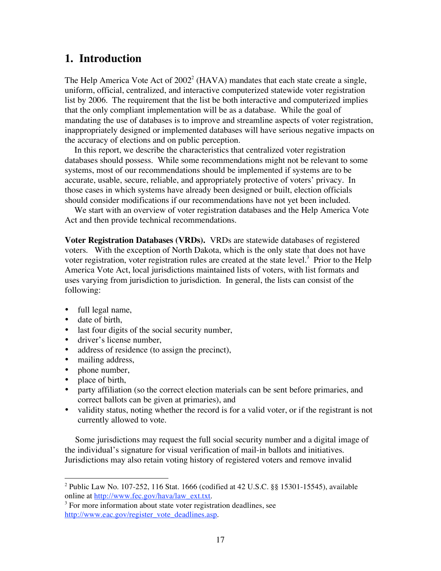## **1. Introduction**

The Help America Vote Act of  $2002<sup>2</sup>$  (HAVA) mandates that each state create a single, uniform, official, centralized, and interactive computerized statewide voter registration list by 2006. The requirement that the list be both interactive and computerized implies that the only compliant implementation will be as a database. While the goal of mandating the use of databases is to improve and streamline aspects of voter registration, inappropriately designed or implemented databases will have serious negative impacts on the accuracy of elections and on public perception.

In this report, we describe the characteristics that centralized voter registration databases should possess. While some recommendations might not be relevant to some systems, most of our recommendations should be implemented if systems are to be accurate, usable, secure, reliable, and appropriately protective of voters' privacy. In those cases in which systems have already been designed or built, election officials should consider modifications if our recommendations have not yet been included.

We start with an overview of voter registration databases and the Help America Vote Act and then provide technical recommendations.

**Voter Registration Databases (VRDs).** VRDs are statewide databases of registered voters. With the exception of North Dakota, which is the only state that does not have voter registration, voter registration rules are created at the state level.<sup>3</sup> Prior to the Help America Vote Act, local jurisdictions maintained lists of voters, with list formats and uses varying from jurisdiction to jurisdiction. In general, the lists can consist of the following:

- full legal name,
- date of birth,
- last four digits of the social security number,
- driver's license number,
- address of residence (to assign the precinct),
- mailing address,
- phone number,
- place of birth,
- party affiliation (so the correct election materials can be sent before primaries, and correct ballots can be given at primaries), and
- validity status, noting whether the record is for a valid voter, or if the registrant is not currently allowed to vote.

Some jurisdictions may request the full social security number and a digital image of the individual's signature for visual verification of mail-in ballots and initiatives. Jurisdictions may also retain voting history of registered voters and remove invalid

<sup>&</sup>lt;sup>2</sup> Public Law No. 107-252, 116 Stat. 1666 (codified at 42 U.S.C. §§ 15301-15545), available online at http://www.fec.gov/hava/law\_ext.txt.

 $3$  For more information about state voter registration deadlines, see http://www.eac.gov/register\_vote\_deadlines.asp.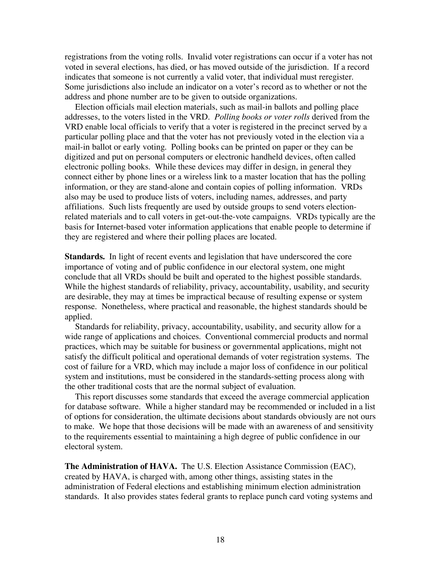registrations from the voting rolls. Invalid voter registrations can occur if a voter has not voted in several elections, has died, or has moved outside of the jurisdiction. If a record indicates that someone is not currently a valid voter, that individual must reregister. Some jurisdictions also include an indicator on a voter's record as to whether or not the address and phone number are to be given to outside organizations.

Election officials mail election materials, such as mail-in ballots and polling place addresses, to the voters listed in the VRD. *Polling books or voter rolls* derived from the VRD enable local officials to verify that a voter is registered in the precinct served by a particular polling place and that the voter has not previously voted in the election via a mail-in ballot or early voting. Polling books can be printed on paper or they can be digitized and put on personal computers or electronic handheld devices, often called electronic polling books. While these devices may differ in design, in general they connect either by phone lines or a wireless link to a master location that has the polling information, or they are stand-alone and contain copies of polling information. VRDs also may be used to produce lists of voters, including names, addresses, and party affiliations. Such lists frequently are used by outside groups to send voters electionrelated materials and to call voters in get-out-the-vote campaigns. VRDs typically are the basis for Internet-based voter information applications that enable people to determine if they are registered and where their polling places are located.

**Standards.** In light of recent events and legislation that have underscored the core importance of voting and of public confidence in our electoral system, one might conclude that all VRDs should be built and operated to the highest possible standards. While the highest standards of reliability, privacy, accountability, usability, and security are desirable, they may at times be impractical because of resulting expense or system response. Nonetheless, where practical and reasonable, the highest standards should be applied.

Standards for reliability, privacy, accountability, usability, and security allow for a wide range of applications and choices. Conventional commercial products and normal practices, which may be suitable for business or governmental applications, might not satisfy the difficult political and operational demands of voter registration systems. The cost of failure for a VRD, which may include a major loss of confidence in our political system and institutions, must be considered in the standards-setting process along with the other traditional costs that are the normal subject of evaluation.

This report discusses some standards that exceed the average commercial application for database software. While a higher standard may be recommended or included in a list of options for consideration, the ultimate decisions about standards obviously are not ours to make. We hope that those decisions will be made with an awareness of and sensitivity to the requirements essential to maintaining a high degree of public confidence in our electoral system.

**The Administration of HAVA.** The U.S. Election Assistance Commission (EAC), created by HAVA, is charged with, among other things, assisting states in the administration of Federal elections and establishing minimum election administration standards. It also provides states federal grants to replace punch card voting systems and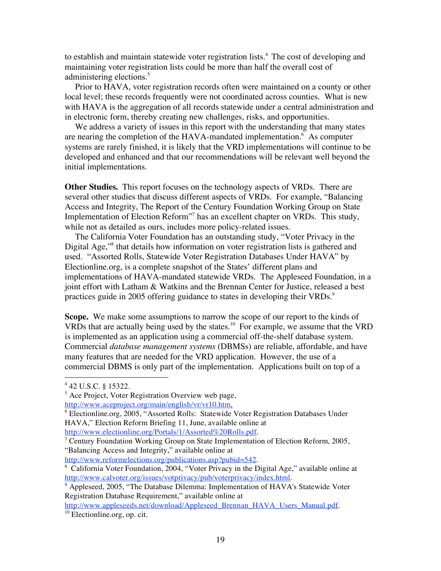to establish and maintain statewide voter registration lists. <sup>4</sup> The cost of developing and maintaining voter registration lists could be more than half the overall cost of administering elections. 5

Prior to HAVA, voter registration records often were maintained on a county or other local level; these records frequently were not coordinated across counties. What is new with HAVA is the aggregation of all records statewide under a central administration and in electronic form, thereby creating new challenges, risks, and opportunities.

We address a variety of issues in this report with the understanding that many states are nearing the completion of the HAVA-mandated implementation.<sup>6</sup> As computer systems are rarely finished, it is likely that the VRD implementations will continue to be developed and enhanced and that our recommendations will be relevant well beyond the initial implementations.

**Other Studies.** This report focuses on the technology aspects of VRDs. There are several other studies that discuss different aspects of VRDs. For example, "Balancing Access and Integrity, The Report of the Century Foundation Working Group on State Implementation of Election Reform"<sup>7</sup> has an excellent chapter on VRDs. This study, while not as detailed as ours, includes more policy-related issues.

The California Voter Foundation has an outstanding study, "Voter Privacy in the Digital Age," <sup>8</sup> that details how information on voter registration lists is gathered and used. "Assorted Rolls, Statewide Voter Registration Databases Under HAVA" by Electionline.org, is a complete snapshot of the States' different plans and implementations of HAVA-mandated statewide VRDs. The Appleseed Foundation, in a joint effort with Latham & Watkins and the Brennan Center for Justice, released a best practices guide in 2005 offering guidance to states in developing their VRDs.<sup>9</sup>

**Scope.** We make some assumptions to narrow the scope of our report to the kinds of VRDs that are actually being used by the states.<sup>10</sup> For example, we assume that the VRD is implemented as an application using a commercial off-the-shelf database system. Commercial *database management systems* (DBMSs) are reliable, affordable, and have many features that are needed for the VRD application. However, the use of a commercial DBMS is only part of the implementation. Applications built on top of a

http://www.reformelections.org/publications.asp?pubid=542.

 <sup>4</sup> <sup>42</sup> U.S.C. § 15322.

 $<sup>5</sup>$  Ace Project, Voter Registration Overview web page,</sup>

http://www.aceproject.org/main/english/vr/vr10.htm.

<sup>6</sup> Electionline.org, 2005, "Assorted Rolls: Statewide Voter Registration Databases Under HAVA," Election Reform Briefing 11, June, available online at http://www.electionline.org/Portals/1/Assorted%20Rolls.pdf.

<sup>&</sup>lt;sup>7</sup> Century Foundation Working Group on State Implementation of Election Reform, 2005, "Balancing Access and Integrity," available online at

<sup>&</sup>lt;sup>8</sup> California Voter Foundation, 2004, "Voter Privacy in the Digital Age," available online at http://www.calvoter.org/issues/votprivacy/pub/voterprivacy/index.html.

 $9$  Appleseed, 2005, "The Database Dilemma: Implementation of HAVA's Statewide Voter Registration Database Requirement," available online at

http://www.appleseeds.net/download/Appleseed\_Brennan\_HAVA\_Users\_Manual.pdf.

<sup>&</sup>lt;sup>10</sup> Electionline.org, op. cit.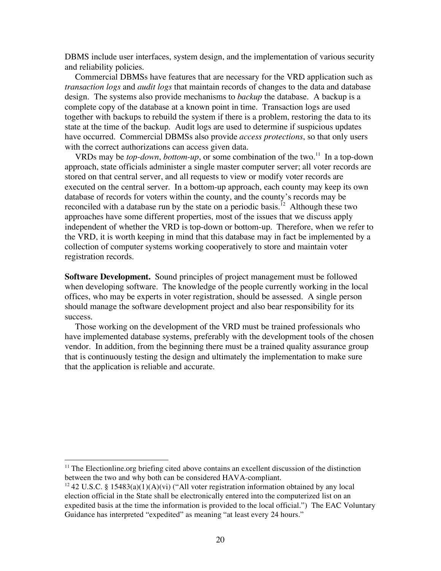DBMS include user interfaces, system design, and the implementation of various security and reliability policies.

Commercial DBMSs have features that are necessary for the VRD application such as *transaction logs* and *audit logs* that maintain records of changes to the data and database design. The systems also provide mechanisms to *backup* the database. A backup is a complete copy of the database at a known point in time. Transaction logs are used together with backups to rebuild the system if there is a problem, restoring the data to its state at the time of the backup. Audit logs are used to determine if suspicious updates have occurred. Commercial DBMSs also provide *access protections*, so that only users with the correct authorizations can access given data.

VRDs may be *top-down*, *bottom-up*, or some combination of the two.<sup>11</sup> In a top-down approach, state officials administer a single master computer server; all voter records are stored on that central server, and all requests to view or modify voter records are executed on the central server. In a bottom-up approach, each county may keep its own database of records for voters within the county, and the county's records may be reconciled with a database run by the state on a periodic basis.<sup>12</sup> Although these two approaches have some different properties, most of the issues that we discuss apply independent of whether the VRD is top-down or bottom-up. Therefore, when we refer to the VRD, it is worth keeping in mind that this database may in fact be implemented by a collection of computer systems working cooperatively to store and maintain voter registration records.

**Software Development.** Sound principles of project management must be followed when developing software. The knowledge of the people currently working in the local offices, who may be experts in voter registration, should be assessed. A single person should manage the software development project and also bear responsibility for its success.

Those working on the development of the VRD must be trained professionals who have implemented database systems, preferably with the development tools of the chosen vendor. In addition, from the beginning there must be a trained quality assurance group that is continuously testing the design and ultimately the implementation to make sure that the application is reliable and accurate.

<sup>&</sup>lt;sup>11</sup> The Electionline.org briefing cited above contains an excellent discussion of the distinction between the two and why both can be considered HAVA-compliant.

<sup>&</sup>lt;sup>12</sup> 42 U.S.C. § 15483(a)(1)(A)(vi) ("All voter registration information obtained by any local election official in the State shall be electronically entered into the computerized list on an expedited basis at the time the information is provided to the local official.") The EAC Voluntary Guidance has interpreted "expedited" as meaning "at least every 24 hours."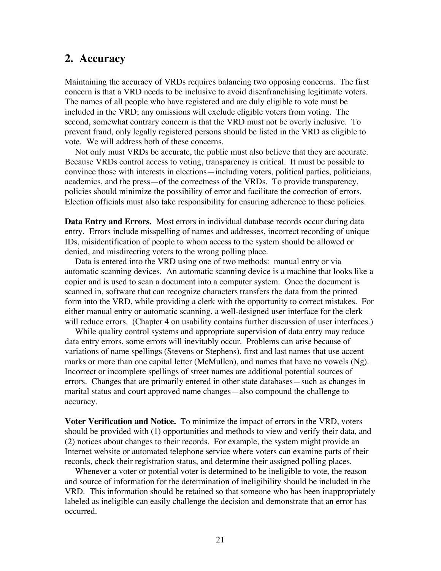## **2. Accuracy**

Maintaining the accuracy of VRDs requires balancing two opposing concerns. The first concern is that a VRD needs to be inclusive to avoid disenfranchising legitimate voters. The names of all people who have registered and are duly eligible to vote must be included in the VRD; any omissions will exclude eligible voters from voting. The second, somewhat contrary concern is that the VRD must not be overly inclusive. To prevent fraud, only legally registered persons should be listed in the VRD as eligible to vote. We will address both of these concerns.

Not only must VRDs be accurate, the public must also believe that they are accurate. Because VRDs control access to voting, transparency is critical. It must be possible to convince those with interests in elections—including voters, political parties, politicians, academics, and the press—of the correctness of the VRDs. To provide transparency, policies should minimize the possibility of error and facilitate the correction of errors. Election officials must also take responsibility for ensuring adherence to these policies.

**Data Entry and Errors.** Most errors in individual database records occur during data entry. Errors include misspelling of names and addresses, incorrect recording of unique IDs, misidentification of people to whom access to the system should be allowed or denied, and misdirecting voters to the wrong polling place.

Data is entered into the VRD using one of two methods: manual entry or via automatic scanning devices. An automatic scanning device is a machine that looks like a copier and is used to scan a document into a computer system. Once the document is scanned in, software that can recognize characters transfers the data from the printed form into the VRD, while providing a clerk with the opportunity to correct mistakes. For either manual entry or automatic scanning, a well-designed user interface for the clerk will reduce errors. (Chapter 4 on usability contains further discussion of user interfaces.)

While quality control systems and appropriate supervision of data entry may reduce data entry errors, some errors will inevitably occur. Problems can arise because of variations of name spellings (Stevens or Stephens), first and last names that use accent marks or more than one capital letter (McMullen), and names that have no vowels (Ng). Incorrect or incomplete spellings of street names are additional potential sources of errors. Changes that are primarily entered in other state databases—such as changes in marital status and court approved name changes—also compound the challenge to accuracy.

**Voter Verification and Notice.** To minimize the impact of errors in the VRD, voters should be provided with (1) opportunities and methods to view and verify their data, and (2) notices about changes to their records. For example, the system might provide an Internet website or automated telephone service where voters can examine parts of their records, check their registration status, and determine their assigned polling places.

Whenever a voter or potential voter is determined to be ineligible to vote, the reason and source of information for the determination of ineligibility should be included in the VRD. This information should be retained so that someone who has been inappropriately labeled as ineligible can easily challenge the decision and demonstrate that an error has occurred.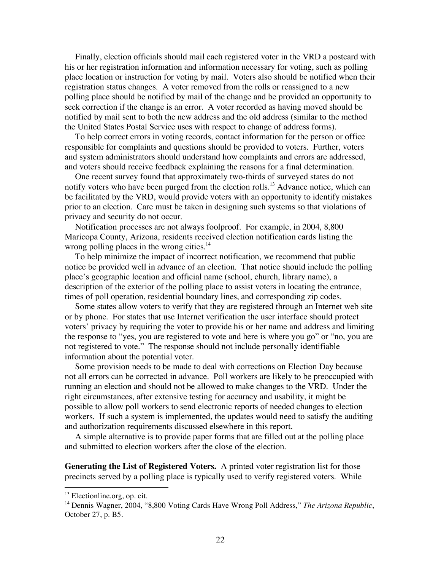Finally, election officials should mail each registered voter in the VRD a postcard with his or her registration information and information necessary for voting, such as polling place location or instruction for voting by mail. Voters also should be notified when their registration status changes. A voter removed from the rolls or reassigned to a new polling place should be notified by mail of the change and be provided an opportunity to seek correction if the change is an error. A voter recorded as having moved should be notified by mail sent to both the new address and the old address (similar to the method the United States Postal Service uses with respect to change of address forms).

To help correct errors in voting records, contact information for the person or office responsible for complaints and questions should be provided to voters. Further, voters and system administrators should understand how complaints and errors are addressed, and voters should receive feedback explaining the reasons for a final determination.

One recent survey found that approximately two-thirds of surveyed states do not notify voters who have been purged from the election rolls.<sup>13</sup> Advance notice, which can be facilitated by the VRD, would provide voters with an opportunity to identify mistakes prior to an election. Care must be taken in designing such systems so that violations of privacy and security do not occur.

Notification processes are not always foolproof. For example, in 2004, 8,800 Maricopa County, Arizona, residents received election notification cards listing the wrong polling places in the wrong cities.<sup>14</sup>

To help minimize the impact of incorrect notification, we recommend that public notice be provided well in advance of an election. That notice should include the polling place's geographic location and official name (school, church, library name), a description of the exterior of the polling place to assist voters in locating the entrance, times of poll operation, residential boundary lines, and corresponding zip codes.

Some states allow voters to verify that they are registered through an Internet web site or by phone. For states that use Internet verification the user interface should protect voters' privacy by requiring the voter to provide his or her name and address and limiting the response to "yes, you are registered to vote and here is where you go" or "no, you are not registered to vote." The response should not include personally identifiable information about the potential voter.

Some provision needs to be made to deal with corrections on Election Day because not all errors can be corrected in advance. Poll workers are likely to be preoccupied with running an election and should not be allowed to make changes to the VRD. Under the right circumstances, after extensive testing for accuracy and usability, it might be possible to allow poll workers to send electronic reports of needed changes to election workers. If such a system is implemented, the updates would need to satisfy the auditing and authorization requirements discussed elsewhere in this report.

A simple alternative is to provide paper forms that are filled out at the polling place and submitted to election workers after the close of the election.

**Generating the List of Registered Voters.** A printed voter registration list for those precincts served by a polling place is typically used to verify registered voters. While

 $13$  Electionline.org, op. cit.

<sup>14</sup> Dennis Wagner, 2004, "8,800 Voting Cards Have Wrong Poll Address," *The Arizona Republic*, October 27, p. B5.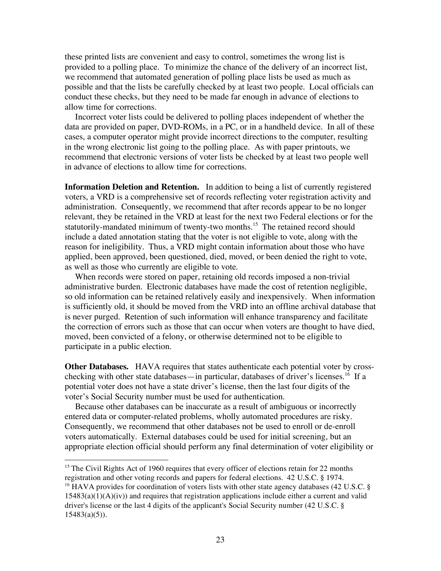these printed lists are convenient and easy to control, sometimes the wrong list is provided to a polling place. To minimize the chance of the delivery of an incorrect list, we recommend that automated generation of polling place lists be used as much as possible and that the lists be carefully checked by at least two people. Local officials can conduct these checks, but they need to be made far enough in advance of elections to allow time for corrections.

Incorrect voter lists could be delivered to polling places independent of whether the data are provided on paper, DVD-ROMs, in a PC, or in a handheld device. In all of these cases, a computer operator might provide incorrect directions to the computer, resulting in the wrong electronic list going to the polling place. As with paper printouts, we recommend that electronic versions of voter lists be checked by at least two people well in advance of elections to allow time for corrections.

**Information Deletion and Retention.** In addition to being a list of currently registered voters, a VRD is a comprehensive set of records reflecting voter registration activity and administration. Consequently, we recommend that after records appear to be no longer relevant, they be retained in the VRD at least for the next two Federal elections or for the statutorily-mandated minimum of twenty-two months. <sup>15</sup> The retained record should include a dated annotation stating that the voter is not eligible to vote, along with the reason for ineligibility. Thus, a VRD might contain information about those who have applied, been approved, been questioned, died, moved, or been denied the right to vote, as well as those who currently are eligible to vote.

When records were stored on paper, retaining old records imposed a non-trivial administrative burden. Electronic databases have made the cost of retention negligible, so old information can be retained relatively easily and inexpensively. When information is sufficiently old, it should be moved from the VRD into an offline archival database that is never purged. Retention of such information will enhance transparency and facilitate the correction of errors such as those that can occur when voters are thought to have died, moved, been convicted of a felony, or otherwise determined not to be eligible to participate in a public election.

**Other Databases.** HAVA requires that states authenticate each potential voter by crosschecking with other state databases—in particular, databases of driver's licenses.<sup>16</sup> If a potential voter does not have a state driver's license, then the last four digits of the voter's Social Security number must be used for authentication.

Because other databases can be inaccurate as a result of ambiguous or incorrectly entered data or computer-related problems, wholly automated procedures are risky. Consequently, we recommend that other databases not be used to enroll or de-enroll voters automatically. External databases could be used for initial screening, but an appropriate election official should perform any final determination of voter eligibility or

<sup>&</sup>lt;sup>15</sup> The Civil Rights Act of 1960 requires that every officer of elections retain for 22 months registration and other voting records and papers for federal elections. 42 U.S.C. § 1974.

<sup>&</sup>lt;sup>16</sup> HAVA provides for coordination of voters lists with other state agency databases (42 U.S.C. §  $15483(a)(1)(A)(iv)$  and requires that registration applications include either a current and valid driver's license or the last 4 digits of the applicant's Social Security number (42 U.S.C. §  $15483(a)(5)$ ).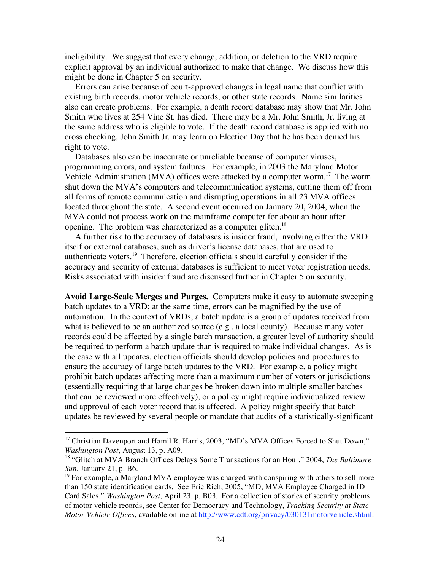ineligibility. We suggest that every change, addition, or deletion to the VRD require explicit approval by an individual authorized to make that change. We discuss how this might be done in Chapter 5 on security.

Errors can arise because of court-approved changes in legal name that conflict with existing birth records, motor vehicle records, or other state records. Name similarities also can create problems. For example, a death record database may show that Mr. John Smith who lives at 254 Vine St. has died. There may be a Mr. John Smith, Jr. living at the same address who is eligible to vote. If the death record database is applied with no cross checking, John Smith Jr. may learn on Election Day that he has been denied his right to vote.

Databases also can be inaccurate or unreliable because of computer viruses, programming errors, and system failures. For example, in 2003 the Maryland Motor Vehicle Administration (MVA) offices were attacked by a computer worm. <sup>17</sup> The worm shut down the MVA's computers and telecommunication systems, cutting them off from all forms of remote communication and disrupting operations in all 23 MVA offices located throughout the state. A second event occurred on January 20, 2004, when the MVA could not process work on the mainframe computer for about an hour after opening. The problem was characterized as a computer glitch.<sup>18</sup>

A further risk to the accuracy of databases is insider fraud, involving either the VRD itself or external databases, such as driver's license databases, that are used to authenticate voters.<sup>19</sup> Therefore, election officials should carefully consider if the accuracy and security of external databases is sufficient to meet voter registration needs. Risks associated with insider fraud are discussed further in Chapter 5 on security.

**Avoid Large-Scale Merges and Purges.** Computers make it easy to automate sweeping batch updates to a VRD; at the same time, errors can be magnified by the use of automation. In the context of VRDs, a batch update is a group of updates received from what is believed to be an authorized source (e.g., a local county). Because many voter records could be affected by a single batch transaction, a greater level of authority should be required to perform a batch update than is required to make individual changes. As is the case with all updates, election officials should develop policies and procedures to ensure the accuracy of large batch updates to the VRD. For example, a policy might prohibit batch updates affecting more than a maximum number of voters or jurisdictions (essentially requiring that large changes be broken down into multiple smaller batches that can be reviewed more effectively), or a policy might require individualized review and approval of each voter record that is affected. A policy might specify that batch updates be reviewed by several people or mandate that audits of a statistically-significant

<sup>&</sup>lt;sup>17</sup> Christian Davenport and Hamil R. Harris, 2003, "MD's MVA Offices Forced to Shut Down,"

*Washington Post*, August 13, p. A09.<br><sup>18</sup> "Glitch at MVA Branch Offices Delays Some Transactions for an Hour," 2004, *The Baltimore Sun*, January 21, p. B6.

 $19$  For example, a Maryland MVA employee was charged with conspiring with others to sell more than 150 state identification cards. See Eric Rich, 2005, "MD, MVA Employee Charged in ID Card Sales," *Washington Post*, April 23, p. B03. For a collection of stories of security problems of motor vehicle records, see Center for Democracy and Technology, *Tracking Security at State Motor Vehicle Offices*, available online at http://www.cdt.org/privacy/030131motorvehicle.shtml.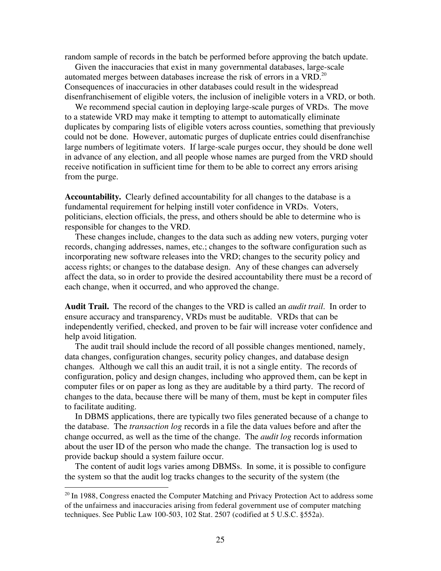random sample of records in the batch be performed before approving the batch update.

Given the inaccuracies that exist in many governmental databases, large-scale automated merges between databases increase the risk of errors in a VRD.<sup>20</sup> Consequences of inaccuracies in other databases could result in the widespread disenfranchisement of eligible voters, the inclusion of ineligible voters in a VRD, or both.

We recommend special caution in deploying large-scale purges of VRDs. The move to a statewide VRD may make it tempting to attempt to automatically eliminate duplicates by comparing lists of eligible voters across counties, something that previously could not be done. However, automatic purges of duplicate entries could disenfranchise large numbers of legitimate voters. If large-scale purges occur, they should be done well in advance of any election, and all people whose names are purged from the VRD should receive notification in sufficient time for them to be able to correct any errors arising from the purge.

**Accountability.** Clearly defined accountability for all changes to the database is a fundamental requirement for helping instill voter confidence in VRDs. Voters, politicians, election officials, the press, and others should be able to determine who is responsible for changes to the VRD.

These changes include, changes to the data such as adding new voters, purging voter records, changing addresses, names, etc.; changes to the software configuration such as incorporating new software releases into the VRD; changes to the security policy and access rights; or changes to the database design. Any of these changes can adversely affect the data, so in order to provide the desired accountability there must be a record of each change, when it occurred, and who approved the change.

**Audit Trail.** The record of the changes to the VRD is called an *audit trail*. In order to ensure accuracy and transparency, VRDs must be auditable. VRDs that can be independently verified, checked, and proven to be fair will increase voter confidence and help avoid litigation.

The audit trail should include the record of all possible changes mentioned, namely, data changes, configuration changes, security policy changes, and database design changes. Although we call this an audit trail, it is not a single entity. The records of configuration, policy and design changes, including who approved them, can be kept in computer files or on paper as long as they are auditable by a third party. The record of changes to the data, because there will be many of them, must be kept in computer files to facilitate auditing.

In DBMS applications, there are typically two files generated because of a change to the database. The *transaction log* records in a file the data values before and after the change occurred, as well as the time of the change. The *audit log* records information about the user ID of the person who made the change. The transaction log is used to provide backup should a system failure occur.

The content of audit logs varies among DBMSs. In some, it is possible to configure the system so that the audit log tracks changes to the security of the system (the

 $20$  In 1988, Congress enacted the Computer Matching and Privacy Protection Act to address some of the unfairness and inaccuracies arising from federal government use of computer matching techniques. See Public Law 100-503, 102 Stat. 2507 (codified at 5 U.S.C. §552a).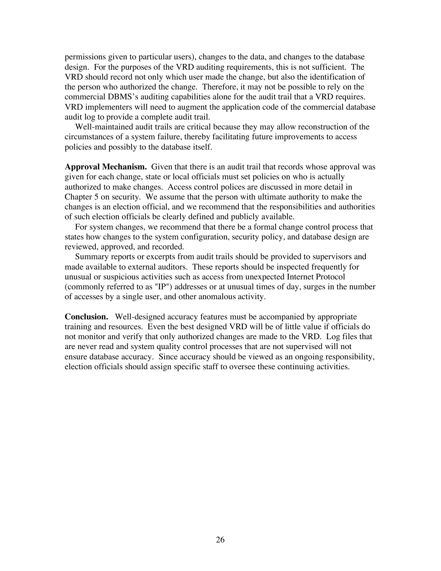permissions given to particular users), changes to the data, and changes to the database design. For the purposes of the VRD auditing requirements, this is not sufficient. The VRD should record not only which user made the change, but also the identification of the person who authorized the change. Therefore, it may not be possible to rely on the commercial DBMS's auditing capabilities alone for the audit trail that a VRD requires. VRD implementers will need to augment the application code of the commercial database audit log to provide a complete audit trail.

Well-maintained audit trails are critical because they may allow reconstruction of the circumstances of a system failure, thereby facilitating future improvements to access policies and possibly to the database itself.

**Approval Mechanism.** Given that there is an audit trail that records whose approval was given for each change, state or local officials must set policies on who is actually authorized to make changes. Access control polices are discussed in more detail in Chapter 5 on security. We assume that the person with ultimate authority to make the changes is an election official, and we recommend that the responsibilities and authorities of such election officials be clearly defined and publicly available.

For system changes, we recommend that there be a formal change control process that states how changes to the system configuration, security policy, and database design are reviewed, approved, and recorded.

Summary reports or excerpts from audit trails should be provided to supervisors and made available to external auditors. These reports should be inspected frequently for unusual or suspicious activities such as access from unexpected Internet Protocol (commonly referred to as "IP") addresses or at unusual times of day, surges in the number of accesses by a single user, and other anomalous activity.

**Conclusion.** Well-designed accuracy features must be accompanied by appropriate training and resources. Even the best designed VRD will be of little value if officials do not monitor and verify that only authorized changes are made to the VRD. Log files that are never read and system quality control processes that are not supervised will not ensure database accuracy. Since accuracy should be viewed as an ongoing responsibility, election officials should assign specific staff to oversee these continuing activities.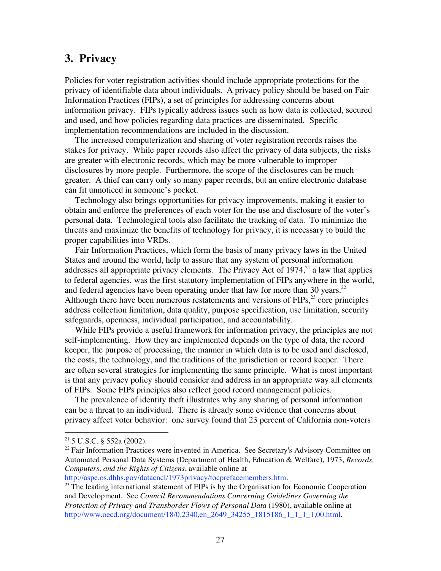## **3. Privacy**

Policies for voter registration activities should include appropriate protections for the privacy of identifiable data about individuals. A privacy policy should be based on Fair Information Practices (FIPs), a set of principles for addressing concerns about information privacy. FIPs typically address issues such as how data is collected, secured and used, and how policies regarding data practices are disseminated. Specific implementation recommendations are included in the discussion.

The increased computerization and sharing of voter registration records raises the stakes for privacy. While paper records also affect the privacy of data subjects, the risks are greater with electronic records, which may be more vulnerable to improper disclosures by more people. Furthermore, the scope of the disclosures can be much greater. A thief can carry only so many paper records, but an entire electronic database can fit unnoticed in someone's pocket.

Technology also brings opportunities for privacy improvements, making it easier to obtain and enforce the preferences of each voter for the use and disclosure of the voter's personal data. Technological tools also facilitate the tracking of data. To minimize the threats and maximize the benefits of technology for privacy, it is necessary to build the proper capabilities into VRDs.

Fair Information Practices, which form the basis of many privacy laws in the United States and around the world, help to assure that any system of personal information addresses all appropriate privacy elements. The Privacy Act of 1974,<sup>21</sup> a law that applies to federal agencies, was the first statutory implementation of FIPs anywhere in the world, and federal agencies have been operating under that law for more than 30 years.<sup>22</sup> Although there have been numerous restatements and versions of  $FIPs$ ,  $23$  core principles address collection limitation, data quality, purpose specification, use limitation, security safeguards, openness, individual participation, and accountability.

While FIPs provide a useful framework for information privacy, the principles are not self-implementing. How they are implemented depends on the type of data, the record keeper, the purpose of processing, the manner in which data is to be used and disclosed, the costs, the technology, and the traditions of the jurisdiction or record keeper. There are often several strategies for implementing the same principle. What is most important is that any privacy policy should consider and address in an appropriate way all elements of FIPs. Some FIPs principles also reflect good record management policies.

The prevalence of identity theft illustrates why any sharing of personal information can be a threat to an individual. There is already some evidence that concerns about privacy affect voter behavior: one survey found that 23 percent of California non-voters

http://aspe.os.dhhs.gov/datacncl/1973privacy/tocprefacemembers.htm.

 $21$  5 U.S.C. § 552a (2002).

 $^{22}$  Fair Information Practices were invented in America. See Secretary's Advisory Committee on Automated Personal Data Systems (Department of Health, Education & Welfare), 1973, *Records, Computers, and the Rights of Citizens*, available online at

 $23$  The leading international statement of FIPs is by the Organisation for Economic Cooperation and Development. See *Council Recommendations Concerning Guidelines Governing the Protection of Privacy and Transborder Flows of Personal Data* (1980), available online at http://www.oecd.org/document/18/0,2340,en\_2649\_34255\_1815186\_1\_1\_1\_1,00.html.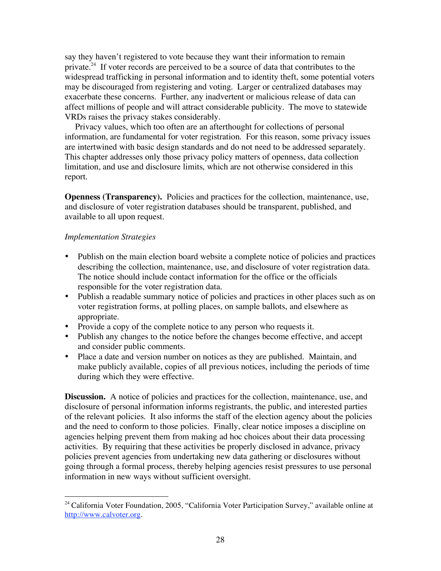say they haven't registered to vote because they want their information to remain private.<sup>24</sup> If voter records are perceived to be a source of data that contributes to the widespread trafficking in personal information and to identity theft, some potential voters may be discouraged from registering and voting. Larger or centralized databases may exacerbate these concerns. Further, any inadvertent or malicious release of data can affect millions of people and will attract considerable publicity. The move to statewide VRDs raises the privacy stakes considerably.

Privacy values, which too often are an afterthought for collections of personal information, are fundamental for voter registration. For this reason, some privacy issues are intertwined with basic design standards and do not need to be addressed separately. This chapter addresses only those privacy policy matters of openness, data collection limitation, and use and disclosure limits, which are not otherwise considered in this report.

**Openness (Transparency).** Policies and practices for the collection, maintenance, use, and disclosure of voter registration databases should be transparent, published, and available to all upon request.

#### *Implementation Strategies*

- Publish on the main election board website a complete notice of policies and practices describing the collection, maintenance, use, and disclosure of voter registration data. The notice should include contact information for the office or the officials responsible for the voter registration data.
- Publish a readable summary notice of policies and practices in other places such as on voter registration forms, at polling places, on sample ballots, and elsewhere as appropriate.
- Provide a copy of the complete notice to any person who requests it.
- Publish any changes to the notice before the changes become effective, and accept and consider public comments.
- Place a date and version number on notices as they are published. Maintain, and make publicly available, copies of all previous notices, including the periods of time during which they were effective.

**Discussion.** A notice of policies and practices for the collection, maintenance, use, and disclosure of personal information informs registrants, the public, and interested parties of the relevant policies. It also informs the staff of the election agency about the policies and the need to conform to those policies. Finally, clear notice imposes a discipline on agencies helping prevent them from making ad hoc choices about their data processing activities. By requiring that these activities be properly disclosed in advance, privacy policies prevent agencies from undertaking new data gathering or disclosures without going through a formal process, thereby helping agencies resist pressures to use personal information in new ways without sufficient oversight.

<sup>&</sup>lt;sup>24</sup> California Voter Foundation, 2005, "California Voter Participation Survey," available online at http://www.calvoter.org.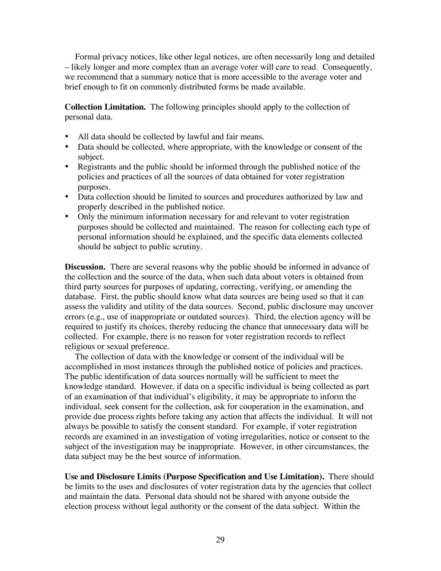Formal privacy notices, like other legal notices, are often necessarily long and detailed – likely longer and more complex than an average voter will care to read. Consequently, we recommend that a summary notice that is more accessible to the average voter and brief enough to fit on commonly distributed forms be made available.

**Collection Limitation.** The following principles should apply to the collection of personal data.

- All data should be collected by lawful and fair means.
- Data should be collected, where appropriate, with the knowledge or consent of the subject.
- Registrants and the public should be informed through the published notice of the policies and practices of all the sources of data obtained for voter registration purposes.
- Data collection should be limited to sources and procedures authorized by law and properly described in the published notice.
- Only the minimum information necessary for and relevant to voter registration purposes should be collected and maintained. The reason for collecting each type of personal information should be explained, and the specific data elements collected should be subject to public scrutiny.

**Discussion.** There are several reasons why the public should be informed in advance of the collection and the source of the data, when such data about voters is obtained from third party sources for purposes of updating, correcting, verifying, or amending the database. First, the public should know what data sources are being used so that it can assess the validity and utility of the data sources. Second, public disclosure may uncover errors (e.g., use of inappropriate or outdated sources). Third, the election agency will be required to justify its choices, thereby reducing the chance that unnecessary data will be collected. For example, there is no reason for voter registration records to reflect religious or sexual preference.

The collection of data with the knowledge or consent of the individual will be accomplished in most instances through the published notice of policies and practices. The public identification of data sources normally will be sufficient to meet the knowledge standard. However, if data on a specific individual is being collected as part of an examination of that individual's eligibility, it may be appropriate to inform the individual, seek consent for the collection, ask for cooperation in the examination, and provide due process rights before taking any action that affects the individual. It will not always be possible to satisfy the consent standard. For example, if voter registration records are examined in an investigation of voting irregularities, notice or consent to the subject of the investigation may be inappropriate. However, in other circumstances, the data subject may be the best source of information.

**Use and Disclosure Limits (Purpose Specification and Use Limitation).** There should be limits to the uses and disclosures of voter registration data by the agencies that collect and maintain the data. Personal data should not be shared with anyone outside the election process without legal authority or the consent of the data subject. Within the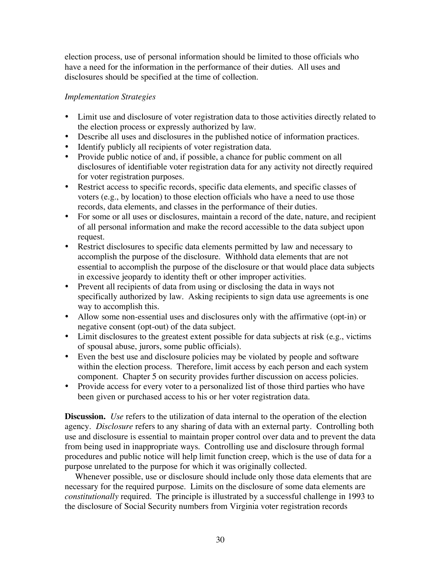election process, use of personal information should be limited to those officials who have a need for the information in the performance of their duties. All uses and disclosures should be specified at the time of collection.

#### *Implementation Strategies*

- Limit use and disclosure of voter registration data to those activities directly related to the election process or expressly authorized by law.
- Describe all uses and disclosures in the published notice of information practices.
- Identify publicly all recipients of voter registration data.
- Provide public notice of and, if possible, a chance for public comment on all disclosures of identifiable voter registration data for any activity not directly required for voter registration purposes.
- Restrict access to specific records, specific data elements, and specific classes of voters (e.g., by location) to those election officials who have a need to use those records, data elements, and classes in the performance of their duties.
- For some or all uses or disclosures, maintain a record of the date, nature, and recipient of all personal information and make the record accessible to the data subject upon request.
- Restrict disclosures to specific data elements permitted by law and necessary to accomplish the purpose of the disclosure. Withhold data elements that are not essential to accomplish the purpose of the disclosure or that would place data subjects in excessive jeopardy to identity theft or other improper activities.
- Prevent all recipients of data from using or disclosing the data in ways not specifically authorized by law. Asking recipients to sign data use agreements is one way to accomplish this.
- Allow some non-essential uses and disclosures only with the affirmative (opt-in) or negative consent (opt-out) of the data subject.
- Limit disclosures to the greatest extent possible for data subjects at risk (e.g., victims of spousal abuse, jurors, some public officials).
- Even the best use and disclosure policies may be violated by people and software within the election process. Therefore, limit access by each person and each system component. Chapter 5 on security provides further discussion on access policies.
- Provide access for every voter to a personalized list of those third parties who have been given or purchased access to his or her voter registration data.

**Discussion.** *Use* refers to the utilization of data internal to the operation of the election agency. *Disclosure* refers to any sharing of data with an external party. Controlling both use and disclosure is essential to maintain proper control over data and to prevent the data from being used in inappropriate ways. Controlling use and disclosure through formal procedures and public notice will help limit function creep, which is the use of data for a purpose unrelated to the purpose for which it was originally collected.

Whenever possible, use or disclosure should include only those data elements that are necessary for the required purpose. Limits on the disclosure of some data elements are *constitutionally* required. The principle is illustrated by a successful challenge in 1993 to the disclosure of Social Security numbers from Virginia voter registration records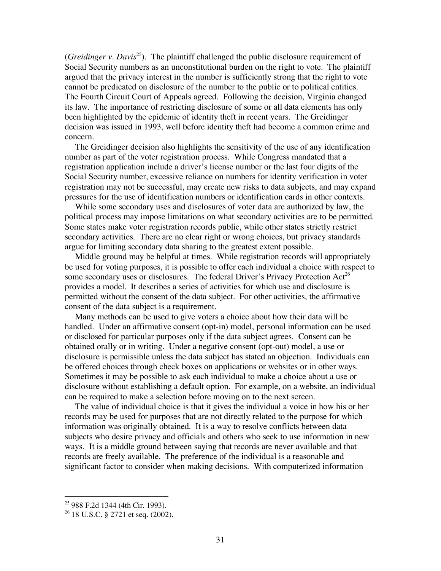(*Greidinger v. Davis* 25 ). The plaintiff challenged the public disclosure requirement of Social Security numbers as an unconstitutional burden on the right to vote. The plaintiff argued that the privacy interest in the number is sufficiently strong that the right to vote cannot be predicated on disclosure of the number to the public or to political entities. The Fourth Circuit Court of Appeals agreed. Following the decision, Virginia changed its law. The importance of restricting disclosure of some or all data elements has only been highlighted by the epidemic of identity theft in recent years. The Greidinger decision was issued in 1993, well before identity theft had become a common crime and concern.

The Greidinger decision also highlights the sensitivity of the use of any identification number as part of the voter registration process. While Congress mandated that a registration application include a driver's license number or the last four digits of the Social Security number, excessive reliance on numbers for identity verification in voter registration may not be successful, may create new risks to data subjects, and may expand pressures for the use of identification numbers or identification cards in other contexts.

While some secondary uses and disclosures of voter data are authorized by law, the political process may impose limitations on what secondary activities are to be permitted. Some states make voter registration records public, while other states strictly restrict secondary activities. There are no clear right or wrong choices, but privacy standards argue for limiting secondary data sharing to the greatest extent possible.

Middle ground may be helpful at times. While registration records will appropriately be used for voting purposes, it is possible to offer each individual a choice with respect to some secondary uses or disclosures. The federal Driver's Privacy Protection Act<sup>26</sup> provides a model. It describes a series of activities for which use and disclosure is permitted without the consent of the data subject. For other activities, the affirmative consent of the data subject is a requirement.

Many methods can be used to give voters a choice about how their data will be handled. Under an affirmative consent (opt-in) model, personal information can be used or disclosed for particular purposes only if the data subject agrees. Consent can be obtained orally or in writing. Under a negative consent (opt-out) model, a use or disclosure is permissible unless the data subject has stated an objection. Individuals can be offered choices through check boxes on applications or websites or in other ways. Sometimes it may be possible to ask each individual to make a choice about a use or disclosure without establishing a default option. For example, on a website, an individual can be required to make a selection before moving on to the next screen.

The value of individual choice is that it gives the individual a voice in how his or her records may be used for purposes that are not directly related to the purpose for which information was originally obtained. It is a way to resolve conflicts between data subjects who desire privacy and officials and others who seek to use information in new ways. It is a middle ground between saying that records are never available and that records are freely available. The preference of the individual is a reasonable and significant factor to consider when making decisions. With computerized information

 <sup>25</sup> <sup>988</sup> F.2d <sup>1344</sup> (4th Cir. 1993).

 $26$  18 U.S.C. § 2721 et seq. (2002).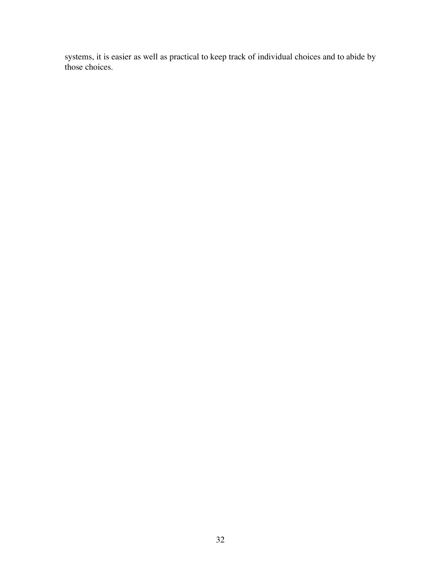systems, it is easier as well as practical to keep track of individual choices and to abide by those choices.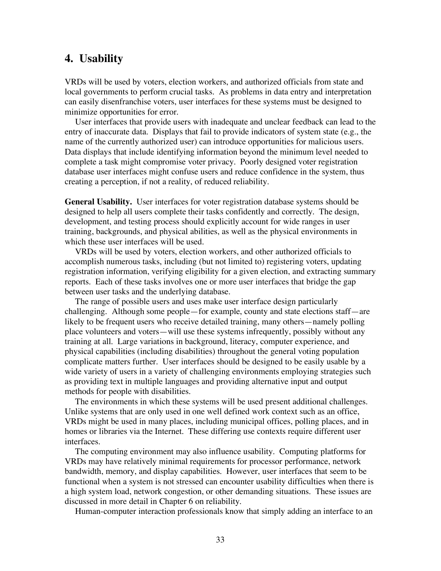## **4. Usability**

VRDs will be used by voters, election workers, and authorized officials from state and local governments to perform crucial tasks. As problems in data entry and interpretation can easily disenfranchise voters, user interfaces for these systems must be designed to minimize opportunities for error.

User interfaces that provide users with inadequate and unclear feedback can lead to the entry of inaccurate data. Displays that fail to provide indicators of system state (e.g., the name of the currently authorized user) can introduce opportunities for malicious users. Data displays that include identifying information beyond the minimum level needed to complete a task might compromise voter privacy. Poorly designed voter registration database user interfaces might confuse users and reduce confidence in the system, thus creating a perception, if not a reality, of reduced reliability.

**General Usability.** User interfaces for voter registration database systems should be designed to help all users complete their tasks confidently and correctly. The design, development, and testing process should explicitly account for wide ranges in user training, backgrounds, and physical abilities, as well as the physical environments in which these user interfaces will be used.

VRDs will be used by voters, election workers, and other authorized officials to accomplish numerous tasks, including (but not limited to) registering voters, updating registration information, verifying eligibility for a given election, and extracting summary reports. Each of these tasks involves one or more user interfaces that bridge the gap between user tasks and the underlying database.

The range of possible users and uses make user interface design particularly challenging. Although some people—for example, county and state elections staff—are likely to be frequent users who receive detailed training, many others—namely polling place volunteers and voters—will use these systems infrequently, possibly without any training at all. Large variations in background, literacy, computer experience, and physical capabilities (including disabilities) throughout the general voting population complicate matters further. User interfaces should be designed to be easily usable by a wide variety of users in a variety of challenging environments employing strategies such as providing text in multiple languages and providing alternative input and output methods for people with disabilities.

The environments in which these systems will be used present additional challenges. Unlike systems that are only used in one well defined work context such as an office, VRDs might be used in many places, including municipal offices, polling places, and in homes or libraries via the Internet. These differing use contexts require different user interfaces.

The computing environment may also influence usability. Computing platforms for VRDs may have relatively minimal requirements for processor performance, network bandwidth, memory, and display capabilities. However, user interfaces that seem to be functional when a system is not stressed can encounter usability difficulties when there is a high system load, network congestion, or other demanding situations. These issues are discussed in more detail in Chapter 6 on reliability.

Human-computer interaction professionals know that simply adding an interface to an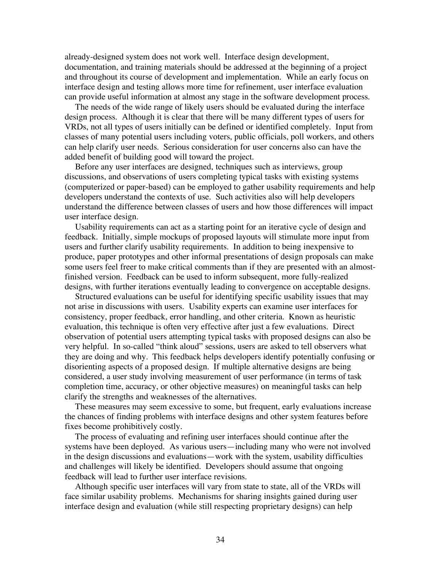already-designed system does not work well. Interface design development, documentation, and training materials should be addressed at the beginning of a project and throughout its course of development and implementation. While an early focus on interface design and testing allows more time for refinement, user interface evaluation can provide useful information at almost any stage in the software development process.

The needs of the wide range of likely users should be evaluated during the interface design process. Although it is clear that there will be many different types of users for VRDs, not all types of users initially can be defined or identified completely. Input from classes of many potential users including voters, public officials, poll workers, and others can help clarify user needs. Serious consideration for user concerns also can have the added benefit of building good will toward the project.

Before any user interfaces are designed, techniques such as interviews, group discussions, and observations of users completing typical tasks with existing systems (computerized or paper-based) can be employed to gather usability requirements and help developers understand the contexts of use. Such activities also will help developers understand the difference between classes of users and how those differences will impact user interface design.

Usability requirements can act as a starting point for an iterative cycle of design and feedback. Initially, simple mockups of proposed layouts will stimulate more input from users and further clarify usability requirements. In addition to being inexpensive to produce, paper prototypes and other informal presentations of design proposals can make some users feel freer to make critical comments than if they are presented with an almostfinished version. Feedback can be used to inform subsequent, more fully-realized designs, with further iterations eventually leading to convergence on acceptable designs.

Structured evaluations can be useful for identifying specific usability issues that may not arise in discussions with users. Usability experts can examine user interfaces for consistency, proper feedback, error handling, and other criteria. Known as heuristic evaluation, this technique is often very effective after just a few evaluations. Direct observation of potential users attempting typical tasks with proposed designs can also be very helpful. In so-called "think aloud" sessions, users are asked to tell observers what they are doing and why. This feedback helps developers identify potentially confusing or disorienting aspects of a proposed design. If multiple alternative designs are being considered, a user study involving measurement of user performance (in terms of task completion time, accuracy, or other objective measures) on meaningful tasks can help clarify the strengths and weaknesses of the alternatives.

These measures may seem excessive to some, but frequent, early evaluations increase the chances of finding problems with interface designs and other system features before fixes become prohibitively costly.

The process of evaluating and refining user interfaces should continue after the systems have been deployed. As various users—including many who were not involved in the design discussions and evaluations—work with the system, usability difficulties and challenges will likely be identified. Developers should assume that ongoing feedback will lead to further user interface revisions.

Although specific user interfaces will vary from state to state, all of the VRDs will face similar usability problems. Mechanisms for sharing insights gained during user interface design and evaluation (while still respecting proprietary designs) can help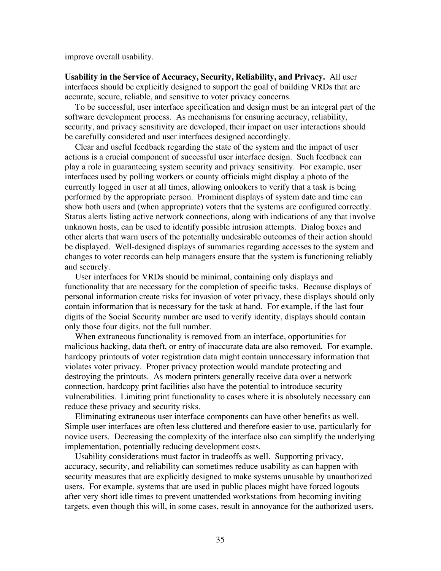improve overall usability.

**Usability in the Service of Accuracy, Security, Reliability, and Privacy.** All user interfaces should be explicitly designed to support the goal of building VRDs that are accurate, secure, reliable, and sensitive to voter privacy concerns.

To be successful, user interface specification and design must be an integral part of the software development process. As mechanisms for ensuring accuracy, reliability, security, and privacy sensitivity are developed, their impact on user interactions should be carefully considered and user interfaces designed accordingly.

Clear and useful feedback regarding the state of the system and the impact of user actions is a crucial component of successful user interface design. Such feedback can play a role in guaranteeing system security and privacy sensitivity. For example, user interfaces used by polling workers or county officials might display a photo of the currently logged in user at all times, allowing onlookers to verify that a task is being performed by the appropriate person. Prominent displays of system date and time can show both users and (when appropriate) voters that the systems are configured correctly. Status alerts listing active network connections, along with indications of any that involve unknown hosts, can be used to identify possible intrusion attempts. Dialog boxes and other alerts that warn users of the potentially undesirable outcomes of their action should be displayed. Well-designed displays of summaries regarding accesses to the system and changes to voter records can help managers ensure that the system is functioning reliably and securely.

User interfaces for VRDs should be minimal, containing only displays and functionality that are necessary for the completion of specific tasks. Because displays of personal information create risks for invasion of voter privacy, these displays should only contain information that is necessary for the task at hand. For example, if the last four digits of the Social Security number are used to verify identity, displays should contain only those four digits, not the full number.

When extraneous functionality is removed from an interface, opportunities for malicious hacking, data theft, or entry of inaccurate data are also removed. For example, hardcopy printouts of voter registration data might contain unnecessary information that violates voter privacy. Proper privacy protection would mandate protecting and destroying the printouts. As modern printers generally receive data over a network connection, hardcopy print facilities also have the potential to introduce security vulnerabilities. Limiting print functionality to cases where it is absolutely necessary can reduce these privacy and security risks.

Eliminating extraneous user interface components can have other benefits as well. Simple user interfaces are often less cluttered and therefore easier to use, particularly for novice users. Decreasing the complexity of the interface also can simplify the underlying implementation, potentially reducing development costs.

Usability considerations must factor in tradeoffs as well. Supporting privacy, accuracy, security, and reliability can sometimes reduce usability as can happen with security measures that are explicitly designed to make systems unusable by unauthorized users. For example, systems that are used in public places might have forced logouts after very short idle times to prevent unattended workstations from becoming inviting targets, even though this will, in some cases, result in annoyance for the authorized users.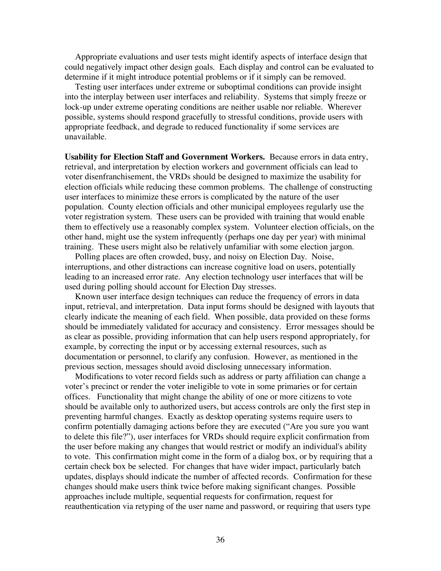Appropriate evaluations and user tests might identify aspects of interface design that could negatively impact other design goals. Each display and control can be evaluated to determine if it might introduce potential problems or if it simply can be removed.

Testing user interfaces under extreme or suboptimal conditions can provide insight into the interplay between user interfaces and reliability. Systems that simply freeze or lock-up under extreme operating conditions are neither usable nor reliable. Wherever possible, systems should respond gracefully to stressful conditions, provide users with appropriate feedback, and degrade to reduced functionality if some services are unavailable.

**Usability for Election Staff and Government Workers.** Because errors in data entry, retrieval, and interpretation by election workers and government officials can lead to voter disenfranchisement, the VRDs should be designed to maximize the usability for election officials while reducing these common problems. The challenge of constructing user interfaces to minimize these errors is complicated by the nature of the user population. County election officials and other municipal employees regularly use the voter registration system. These users can be provided with training that would enable them to effectively use a reasonably complex system. Volunteer election officials, on the other hand, might use the system infrequently (perhaps one day per year) with minimal training. These users might also be relatively unfamiliar with some election jargon.

Polling places are often crowded, busy, and noisy on Election Day. Noise, interruptions, and other distractions can increase cognitive load on users, potentially leading to an increased error rate. Any election technology user interfaces that will be used during polling should account for Election Day stresses.

Known user interface design techniques can reduce the frequency of errors in data input, retrieval, and interpretation. Data input forms should be designed with layouts that clearly indicate the meaning of each field. When possible, data provided on these forms should be immediately validated for accuracy and consistency. Error messages should be as clear as possible, providing information that can help users respond appropriately, for example, by correcting the input or by accessing external resources, such as documentation or personnel, to clarify any confusion. However, as mentioned in the previous section, messages should avoid disclosing unnecessary information.

Modifications to voter record fields such as address or party affiliation can change a voter's precinct or render the voter ineligible to vote in some primaries or for certain offices. Functionality that might change the ability of one or more citizens to vote should be available only to authorized users, but access controls are only the first step in preventing harmful changes. Exactly as desktop operating systems require users to confirm potentially damaging actions before they are executed ("Are you sure you want to delete this file?"), user interfaces for VRDs should require explicit confirmation from the user before making any changes that would restrict or modify an individual's ability to vote. This confirmation might come in the form of a dialog box, or by requiring that a certain check box be selected. For changes that have wider impact, particularly batch updates, displays should indicate the number of affected records. Confirmation for these changes should make users think twice before making significant changes. Possible approaches include multiple, sequential requests for confirmation, request for reauthentication via retyping of the user name and password, or requiring that users type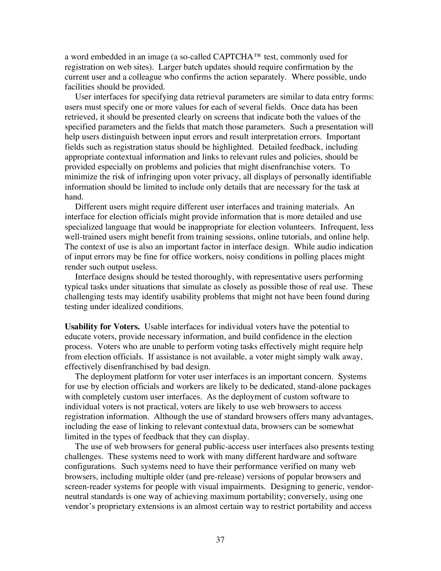a word embedded in an image (a so-called CAPTCHA™ test, commonly used for registration on web sites). Larger batch updates should require confirmation by the current user and a colleague who confirms the action separately. Where possible, undo facilities should be provided.

User interfaces for specifying data retrieval parameters are similar to data entry forms: users must specify one or more values for each of several fields. Once data has been retrieved, it should be presented clearly on screens that indicate both the values of the specified parameters and the fields that match those parameters. Such a presentation will help users distinguish between input errors and result interpretation errors. Important fields such as registration status should be highlighted. Detailed feedback, including appropriate contextual information and links to relevant rules and policies, should be provided especially on problems and policies that might disenfranchise voters. To minimize the risk of infringing upon voter privacy, all displays of personally identifiable information should be limited to include only details that are necessary for the task at hand.

Different users might require different user interfaces and training materials. An interface for election officials might provide information that is more detailed and use specialized language that would be inappropriate for election volunteers. Infrequent, less well-trained users might benefit from training sessions, online tutorials, and online help. The context of use is also an important factor in interface design. While audio indication of input errors may be fine for office workers, noisy conditions in polling places might render such output useless.

Interface designs should be tested thoroughly, with representative users performing typical tasks under situations that simulate as closely as possible those of real use. These challenging tests may identify usability problems that might not have been found during testing under idealized conditions.

**Usability for Voters.** Usable interfaces for individual voters have the potential to educate voters, provide necessary information, and build confidence in the election process. Voters who are unable to perform voting tasks effectively might require help from election officials. If assistance is not available, a voter might simply walk away, effectively disenfranchised by bad design.

The deployment platform for voter user interfaces is an important concern. Systems for use by election officials and workers are likely to be dedicated, stand-alone packages with completely custom user interfaces. As the deployment of custom software to individual voters is not practical, voters are likely to use web browsers to access registration information. Although the use of standard browsers offers many advantages, including the ease of linking to relevant contextual data, browsers can be somewhat limited in the types of feedback that they can display.

The use of web browsers for general public-access user interfaces also presents testing challenges. These systems need to work with many different hardware and software configurations. Such systems need to have their performance verified on many web browsers, including multiple older (and pre-release) versions of popular browsers and screen-reader systems for people with visual impairments. Designing to generic, vendorneutral standards is one way of achieving maximum portability; conversely, using one vendor's proprietary extensions is an almost certain way to restrict portability and access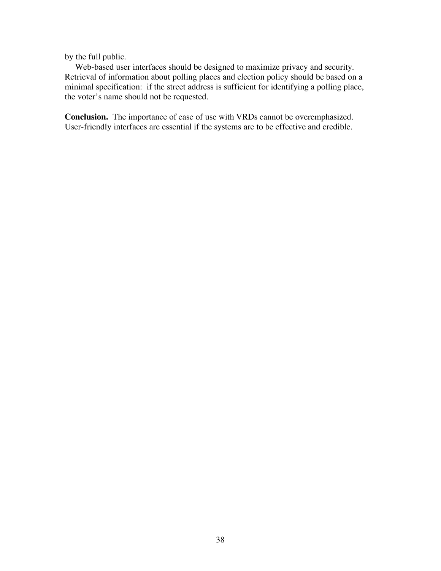by the full public.

Web-based user interfaces should be designed to maximize privacy and security. Retrieval of information about polling places and election policy should be based on a minimal specification: if the street address is sufficient for identifying a polling place, the voter's name should not be requested.

**Conclusion.** The importance of ease of use with VRDs cannot be overemphasized. User-friendly interfaces are essential if the systems are to be effective and credible.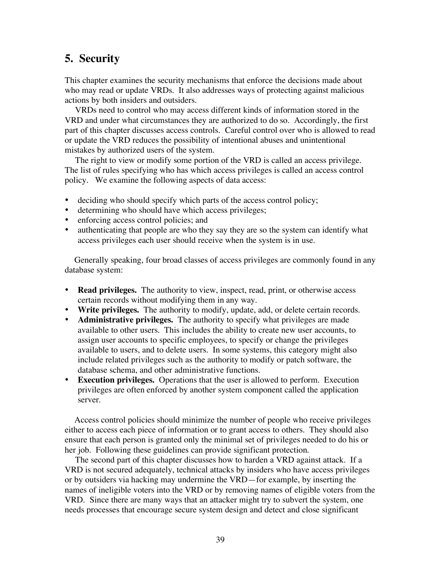## **5. Security**

This chapter examines the security mechanisms that enforce the decisions made about who may read or update VRDs. It also addresses ways of protecting against malicious actions by both insiders and outsiders.

VRDs need to control who may access different kinds of information stored in the VRD and under what circumstances they are authorized to do so. Accordingly, the first part of this chapter discusses access controls. Careful control over who is allowed to read or update the VRD reduces the possibility of intentional abuses and unintentional mistakes by authorized users of the system.

The right to view or modify some portion of the VRD is called an access privilege. The list of rules specifying who has which access privileges is called an access control policy. We examine the following aspects of data access:

- deciding who should specify which parts of the access control policy;
- determining who should have which access privileges;
- enforcing access control policies; and
- authenticating that people are who they say they are so the system can identify what access privileges each user should receive when the system is in use.

Generally speaking, four broad classes of access privileges are commonly found in any database system:

- **Read privileges.** The authority to view, inspect, read, print, or otherwise access certain records without modifying them in any way.
- **Write privileges.** The authority to modify, update, add, or delete certain records.
- **Administrative privileges.** The authority to specify what privileges are made available to other users. This includes the ability to create new user accounts, to assign user accounts to specific employees, to specify or change the privileges available to users, and to delete users. In some systems, this category might also include related privileges such as the authority to modify or patch software, the database schema, and other administrative functions.
- **Execution privileges.** Operations that the user is allowed to perform. Execution privileges are often enforced by another system component called the application server.

Access control policies should minimize the number of people who receive privileges either to access each piece of information or to grant access to others. They should also ensure that each person is granted only the minimal set of privileges needed to do his or her job. Following these guidelines can provide significant protection.

The second part of this chapter discusses how to harden a VRD against attack. If a VRD is not secured adequately, technical attacks by insiders who have access privileges or by outsiders via hacking may undermine the VRD—for example, by inserting the names of ineligible voters into the VRD or by removing names of eligible voters from the VRD. Since there are many ways that an attacker might try to subvert the system, one needs processes that encourage secure system design and detect and close significant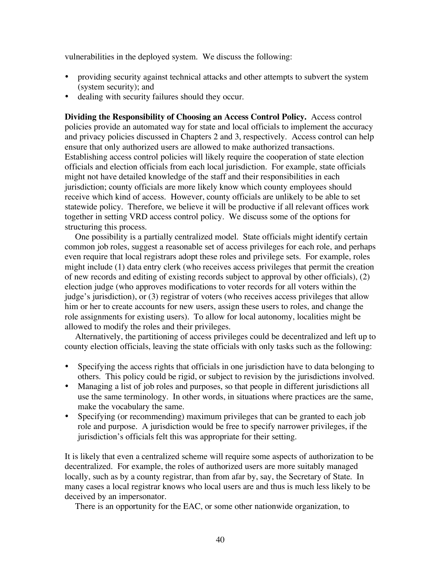vulnerabilities in the deployed system. We discuss the following:

- providing security against technical attacks and other attempts to subvert the system (system security); and
- dealing with security failures should they occur.

**Dividing the Responsibility of Choosing an Access Control Policy.** Access control policies provide an automated way for state and local officials to implement the accuracy and privacy policies discussed in Chapters 2 and 3, respectively. Access control can help ensure that only authorized users are allowed to make authorized transactions. Establishing access control policies will likely require the cooperation of state election officials and election officials from each local jurisdiction. For example, state officials might not have detailed knowledge of the staff and their responsibilities in each jurisdiction; county officials are more likely know which county employees should receive which kind of access. However, county officials are unlikely to be able to set statewide policy. Therefore, we believe it will be productive if all relevant offices work together in setting VRD access control policy. We discuss some of the options for structuring this process.

One possibility is a partially centralized model. State officials might identify certain common job roles, suggest a reasonable set of access privileges for each role, and perhaps even require that local registrars adopt these roles and privilege sets. For example, roles might include (1) data entry clerk (who receives access privileges that permit the creation of new records and editing of existing records subject to approval by other officials), (2) election judge (who approves modifications to voter records for all voters within the judge's jurisdiction), or (3) registrar of voters (who receives access privileges that allow him or her to create accounts for new users, assign these users to roles, and change the role assignments for existing users). To allow for local autonomy, localities might be allowed to modify the roles and their privileges.

Alternatively, the partitioning of access privileges could be decentralized and left up to county election officials, leaving the state officials with only tasks such as the following:

- Specifying the access rights that officials in one jurisdiction have to data belonging to others. This policy could be rigid, or subject to revision by the jurisdictions involved.
- Managing a list of job roles and purposes, so that people in different jurisdictions all use the same terminology. In other words, in situations where practices are the same, make the vocabulary the same.
- Specifying (or recommending) maximum privileges that can be granted to each job role and purpose. A jurisdiction would be free to specify narrower privileges, if the jurisdiction's officials felt this was appropriate for their setting.

It is likely that even a centralized scheme will require some aspects of authorization to be decentralized. For example, the roles of authorized users are more suitably managed locally, such as by a county registrar, than from afar by, say, the Secretary of State. In many cases a local registrar knows who local users are and thus is much less likely to be deceived by an impersonator.

There is an opportunity for the EAC, or some other nationwide organization, to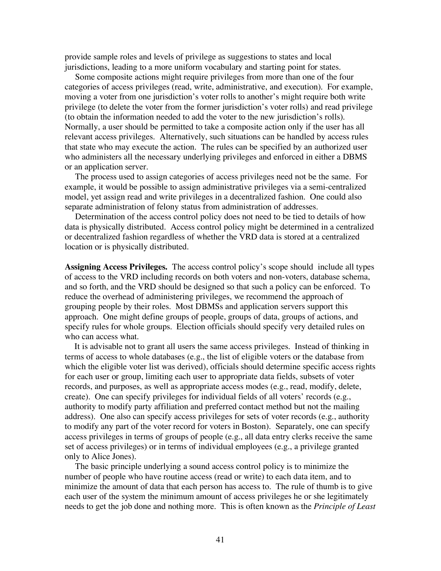provide sample roles and levels of privilege as suggestions to states and local jurisdictions, leading to a more uniform vocabulary and starting point for states.

Some composite actions might require privileges from more than one of the four categories of access privileges (read, write, administrative, and execution). For example, moving a voter from one jurisdiction's voter rolls to another's might require both write privilege (to delete the voter from the former jurisdiction's voter rolls) and read privilege (to obtain the information needed to add the voter to the new jurisdiction's rolls). Normally, a user should be permitted to take a composite action only if the user has all relevant access privileges. Alternatively, such situations can be handled by access rules that state who may execute the action. The rules can be specified by an authorized user who administers all the necessary underlying privileges and enforced in either a DBMS or an application server.

The process used to assign categories of access privileges need not be the same. For example, it would be possible to assign administrative privileges via a semi-centralized model, yet assign read and write privileges in a decentralized fashion. One could also separate administration of felony status from administration of addresses.

Determination of the access control policy does not need to be tied to details of how data is physically distributed. Access control policy might be determined in a centralized or decentralized fashion regardless of whether the VRD data is stored at a centralized location or is physically distributed.

**Assigning Access Privileges.** The access control policy's scope should include all types of access to the VRD including records on both voters and non-voters, database schema, and so forth, and the VRD should be designed so that such a policy can be enforced. To reduce the overhead of administering privileges, we recommend the approach of grouping people by their roles. Most DBMSs and application servers support this approach. One might define groups of people, groups of data, groups of actions, and specify rules for whole groups. Election officials should specify very detailed rules on who can access what.

It is advisable not to grant all users the same access privileges. Instead of thinking in terms of access to whole databases (e.g., the list of eligible voters or the database from which the eligible voter list was derived), officials should determine specific access rights for each user or group, limiting each user to appropriate data fields, subsets of voter records, and purposes, as well as appropriate access modes (e.g., read, modify, delete, create). One can specify privileges for individual fields of all voters' records (e.g., authority to modify party affiliation and preferred contact method but not the mailing address). One also can specify access privileges for sets of voter records (e.g., authority to modify any part of the voter record for voters in Boston). Separately, one can specify access privileges in terms of groups of people (e.g., all data entry clerks receive the same set of access privileges) or in terms of individual employees (e.g., a privilege granted only to Alice Jones).

The basic principle underlying a sound access control policy is to minimize the number of people who have routine access (read or write) to each data item, and to minimize the amount of data that each person has access to. The rule of thumb is to give each user of the system the minimum amount of access privileges he or she legitimately needs to get the job done and nothing more. This is often known as the *Principle of Least*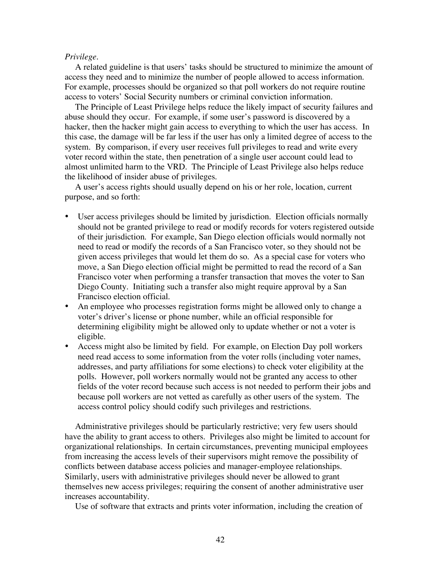#### *Privilege.*

A related guideline is that users' tasks should be structured to minimize the amount of access they need and to minimize the number of people allowed to access information. For example, processes should be organized so that poll workers do not require routine access to voters' Social Security numbers or criminal conviction information.

The Principle of Least Privilege helps reduce the likely impact of security failures and abuse should they occur. For example, if some user's password is discovered by a hacker, then the hacker might gain access to everything to which the user has access. In this case, the damage will be far less if the user has only a limited degree of access to the system. By comparison, if every user receives full privileges to read and write every voter record within the state, then penetration of a single user account could lead to almost unlimited harm to the VRD. The Principle of Least Privilege also helps reduce the likelihood of insider abuse of privileges.

A user's access rights should usually depend on his or her role, location, current purpose, and so forth:

- User access privileges should be limited by jurisdiction. Election officials normally should not be granted privilege to read or modify records for voters registered outside of their jurisdiction. For example, San Diego election officials would normally not need to read or modify the records of a San Francisco voter, so they should not be given access privileges that would let them do so. As a special case for voters who move, a San Diego election official might be permitted to read the record of a San Francisco voter when performing a transfer transaction that moves the voter to San Diego County. Initiating such a transfer also might require approval by a San Francisco election official.
- An employee who processes registration forms might be allowed only to change a voter's driver's license or phone number, while an official responsible for determining eligibility might be allowed only to update whether or not a voter is eligible.
- Access might also be limited by field. For example, on Election Day poll workers need read access to some information from the voter rolls (including voter names, addresses, and party affiliations for some elections) to check voter eligibility at the polls. However, poll workers normally would not be granted any access to other fields of the voter record because such access is not needed to perform their jobs and because poll workers are not vetted as carefully as other users of the system. The access control policy should codify such privileges and restrictions.

Administrative privileges should be particularly restrictive; very few users should have the ability to grant access to others. Privileges also might be limited to account for organizational relationships. In certain circumstances, preventing municipal employees from increasing the access levels of their supervisors might remove the possibility of conflicts between database access policies and manager-employee relationships. Similarly, users with administrative privileges should never be allowed to grant themselves new access privileges; requiring the consent of another administrative user increases accountability.

Use of software that extracts and prints voter information, including the creation of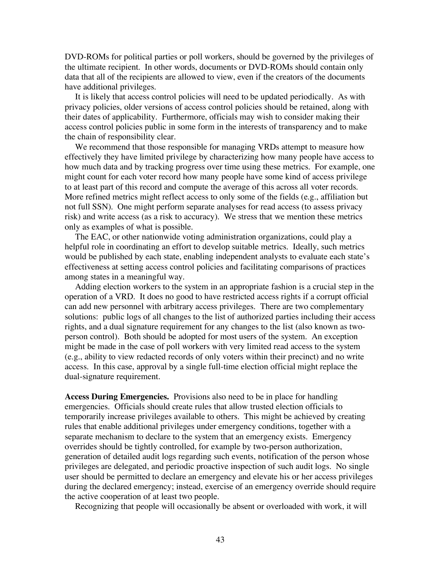DVD-ROMs for political parties or poll workers, should be governed by the privileges of the ultimate recipient. In other words, documents or DVD-ROMs should contain only data that all of the recipients are allowed to view, even if the creators of the documents have additional privileges.

It is likely that access control policies will need to be updated periodically. As with privacy policies, older versions of access control policies should be retained, along with their dates of applicability. Furthermore, officials may wish to consider making their access control policies public in some form in the interests of transparency and to make the chain of responsibility clear.

We recommend that those responsible for managing VRDs attempt to measure how effectively they have limited privilege by characterizing how many people have access to how much data and by tracking progress over time using these metrics. For example, one might count for each voter record how many people have some kind of access privilege to at least part of this record and compute the average of this across all voter records. More refined metrics might reflect access to only some of the fields (e.g., affiliation but not full SSN). One might perform separate analyses for read access (to assess privacy risk) and write access (as a risk to accuracy). We stress that we mention these metrics only as examples of what is possible.

The EAC, or other nationwide voting administration organizations, could play a helpful role in coordinating an effort to develop suitable metrics. Ideally, such metrics would be published by each state, enabling independent analysts to evaluate each state's effectiveness at setting access control policies and facilitating comparisons of practices among states in a meaningful way.

Adding election workers to the system in an appropriate fashion is a crucial step in the operation of a VRD. It does no good to have restricted access rights if a corrupt official can add new personnel with arbitrary access privileges. There are two complementary solutions: public logs of all changes to the list of authorized parties including their access rights, and a dual signature requirement for any changes to the list (also known as twoperson control). Both should be adopted for most users of the system. An exception might be made in the case of poll workers with very limited read access to the system (e.g., ability to view redacted records of only voters within their precinct) and no write access. In this case, approval by a single full-time election official might replace the dual-signature requirement.

**Access During Emergencies.** Provisions also need to be in place for handling emergencies. Officials should create rules that allow trusted election officials to temporarily increase privileges available to others. This might be achieved by creating rules that enable additional privileges under emergency conditions, together with a separate mechanism to declare to the system that an emergency exists. Emergency overrides should be tightly controlled, for example by two-person authorization, generation of detailed audit logs regarding such events, notification of the person whose privileges are delegated, and periodic proactive inspection of such audit logs. No single user should be permitted to declare an emergency and elevate his or her access privileges during the declared emergency; instead, exercise of an emergency override should require the active cooperation of at least two people.

Recognizing that people will occasionally be absent or overloaded with work, it will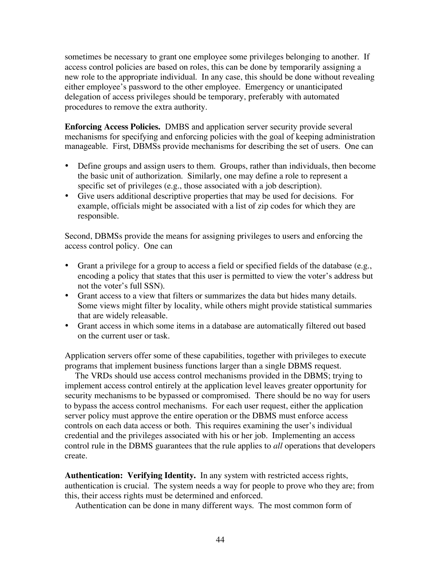sometimes be necessary to grant one employee some privileges belonging to another. If access control policies are based on roles, this can be done by temporarily assigning a new role to the appropriate individual. In any case, this should be done without revealing either employee's password to the other employee. Emergency or unanticipated delegation of access privileges should be temporary, preferably with automated procedures to remove the extra authority.

**Enforcing Access Policies.** DMBS and application server security provide several mechanisms for specifying and enforcing policies with the goal of keeping administration manageable. First, DBMSs provide mechanisms for describing the set of users. One can

- Define groups and assign users to them. Groups, rather than individuals, then become the basic unit of authorization. Similarly, one may define a role to represent a specific set of privileges (e.g., those associated with a job description).
- Give users additional descriptive properties that may be used for decisions. For example, officials might be associated with a list of zip codes for which they are responsible.

Second, DBMSs provide the means for assigning privileges to users and enforcing the access control policy. One can

- Grant a privilege for a group to access a field or specified fields of the database (e.g., encoding a policy that states that this user is permitted to view the voter's address but not the voter's full SSN).
- Grant access to a view that filters or summarizes the data but hides many details. Some views might filter by locality, while others might provide statistical summaries that are widely releasable.
- Grant access in which some items in a database are automatically filtered out based on the current user or task.

Application servers offer some of these capabilities, together with privileges to execute programs that implement business functions larger than a single DBMS request.

The VRDs should use access control mechanisms provided in the DBMS; trying to implement access control entirely at the application level leaves greater opportunity for security mechanisms to be bypassed or compromised. There should be no way for users to bypass the access control mechanisms. For each user request, either the application server policy must approve the entire operation or the DBMS must enforce access controls on each data access or both. This requires examining the user's individual credential and the privileges associated with his or her job. Implementing an access control rule in the DBMS guarantees that the rule applies to *all* operations that developers create.

**Authentication: Verifying Identity.** In any system with restricted access rights, authentication is crucial. The system needs a way for people to prove who they are; from this, their access rights must be determined and enforced.

Authentication can be done in many different ways. The most common form of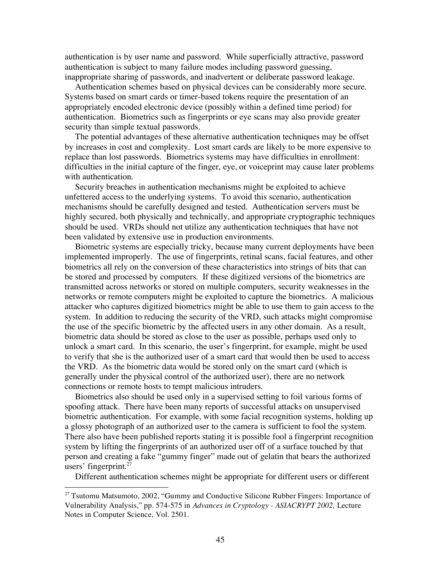authentication is by user name and password. While superficially attractive, password authentication is subject to many failure modes including password guessing, inappropriate sharing of passwords, and inadvertent or deliberate password leakage.

Authentication schemes based on physical devices can be considerably more secure. Systems based on smart cards or timer-based tokens require the presentation of an appropriately encoded electronic device (possibly within a defined time period) for authentication. Biometrics such as fingerprints or eye scans may also provide greater security than simple textual passwords.

The potential advantages of these alternative authentication techniques may be offset by increases in cost and complexity. Lost smart cards are likely to be more expensive to replace than lost passwords. Biometrics systems may have difficulties in enrollment: difficulties in the initial capture of the finger, eye, or voiceprint may cause later problems with authentication.

Security breaches in authentication mechanisms might be exploited to achieve unfettered access to the underlying systems. To avoid this scenario, authentication mechanisms should be carefully designed and tested. Authentication servers must be highly secured, both physically and technically, and appropriate cryptographic techniques should be used. VRDs should not utilize any authentication techniques that have not been validated by extensive use in production environments.

Biometric systems are especially tricky, because many current deployments have been implemented improperly. The use of fingerprints, retinal scans, facial features, and other biometrics all rely on the conversion of these characteristics into strings of bits that can be stored and processed by computers. If these digitized versions of the biometrics are transmitted across networks or stored on multiple computers, security weaknesses in the networks or remote computers might be exploited to capture the biometrics. A malicious attacker who captures digitized biometrics might be able to use them to gain access to the system. In addition to reducing the security of the VRD, such attacks might compromise the use of the specific biometric by the affected users in any other domain. As a result, biometric data should be stored as close to the user as possible, perhaps used only to unlock a smart card. In this scenario, the user's fingerprint, for example, might be used to verify that she is the authorized user of a smart card that would then be used to access the VRD. As the biometric data would be stored only on the smart card (which is generally under the physical control of the authorized user), there are no network connections or remote hosts to tempt malicious intruders.

Biometrics also should be used only in a supervised setting to foil various forms of spoofing attack. There have been many reports of successful attacks on unsupervised biometric authentication. For example, with some facial recognition systems, holding up a glossy photograph of an authorized user to the camera is sufficient to fool the system. There also have been published reports stating it is possible fool a fingerprint recognition system by lifting the fingerprints of an authorized user off of a surface touched by that person and creating a fake "gummy finger" made out of gelatin that bears the authorized users' fingerprint.<sup>27</sup>

Different authentication schemes might be appropriate for different users or different

 $27$  Tsutomu Matsumoto, 2002, "Gummy and Conductive Silicone Rubber Fingers: Importance of Vulnerability Analysis," pp. 574-575 in *Advances in Cryptology - ASIACRYPT 2002,* Lecture Notes in Computer Science, Vol. 2501.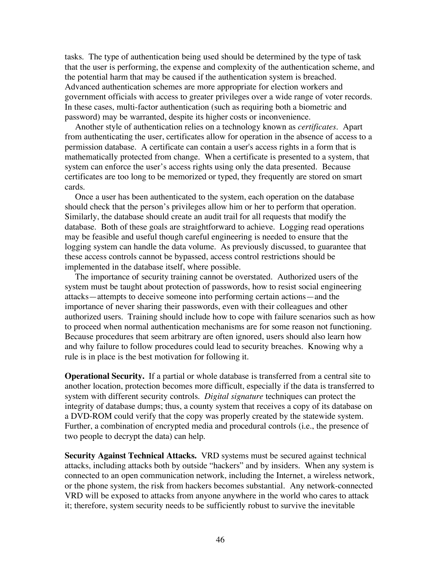tasks. The type of authentication being used should be determined by the type of task that the user is performing, the expense and complexity of the authentication scheme, and the potential harm that may be caused if the authentication system is breached. Advanced authentication schemes are more appropriate for election workers and government officials with access to greater privileges over a wide range of voter records. In these cases, multi-factor authentication (such as requiring both a biometric and password) may be warranted, despite its higher costs or inconvenience.

Another style of authentication relies on a technology known as *certificates*. Apart from authenticating the user, certificates allow for operation in the absence of access to a permission database. A certificate can contain a user's access rights in a form that is mathematically protected from change. When a certificate is presented to a system, that system can enforce the user's access rights using only the data presented. Because certificates are too long to be memorized or typed, they frequently are stored on smart cards.

Once a user has been authenticated to the system, each operation on the database should check that the person's privileges allow him or her to perform that operation. Similarly, the database should create an audit trail for all requests that modify the database. Both of these goals are straightforward to achieve. Logging read operations may be feasible and useful though careful engineering is needed to ensure that the logging system can handle the data volume. As previously discussed, to guarantee that these access controls cannot be bypassed, access control restrictions should be implemented in the database itself, where possible.

The importance of security training cannot be overstated. Authorized users of the system must be taught about protection of passwords, how to resist social engineering attacks—attempts to deceive someone into performing certain actions—and the importance of never sharing their passwords, even with their colleagues and other authorized users. Training should include how to cope with failure scenarios such as how to proceed when normal authentication mechanisms are for some reason not functioning. Because procedures that seem arbitrary are often ignored, users should also learn how and why failure to follow procedures could lead to security breaches. Knowing why a rule is in place is the best motivation for following it.

**Operational Security.** If a partial or whole database is transferred from a central site to another location, protection becomes more difficult, especially if the data is transferred to system with different security controls. *Digital signature* techniques can protect the integrity of database dumps; thus, a county system that receives a copy of its database on a DVD-ROM could verify that the copy was properly created by the statewide system. Further, a combination of encrypted media and procedural controls (i.e., the presence of two people to decrypt the data) can help.

**Security Against Technical Attacks.** VRD systems must be secured against technical attacks, including attacks both by outside "hackers" and by insiders. When any system is connected to an open communication network, including the Internet, a wireless network, or the phone system, the risk from hackers becomes substantial. Any network-connected VRD will be exposed to attacks from anyone anywhere in the world who cares to attack it; therefore, system security needs to be sufficiently robust to survive the inevitable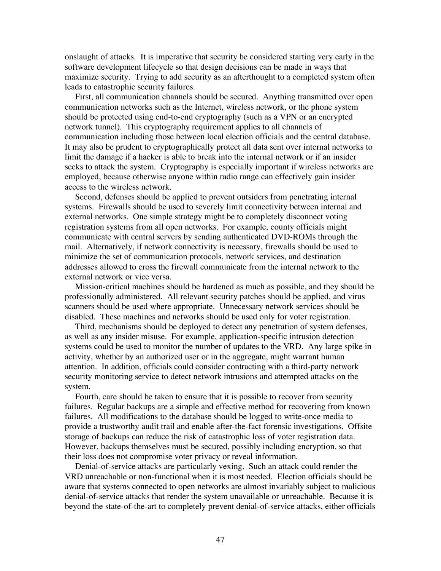onslaught of attacks. It is imperative that security be considered starting very early in the software development lifecycle so that design decisions can be made in ways that maximize security. Trying to add security as an afterthought to a completed system often leads to catastrophic security failures.

First, all communication channels should be secured. Anything transmitted over open communication networks such as the Internet, wireless network, or the phone system should be protected using end-to-end cryptography (such as a VPN or an encrypted network tunnel). This cryptography requirement applies to all channels of communication including those between local election officials and the central database. It may also be prudent to cryptographically protect all data sent over internal networks to limit the damage if a hacker is able to break into the internal network or if an insider seeks to attack the system. Cryptography is especially important if wireless networks are employed, because otherwise anyone within radio range can effectively gain insider access to the wireless network.

Second, defenses should be applied to prevent outsiders from penetrating internal systems. Firewalls should be used to severely limit connectivity between internal and external networks. One simple strategy might be to completely disconnect voting registration systems from all open networks. For example, county officials might communicate with central servers by sending authenticated DVD-ROMs through the mail. Alternatively, if network connectivity is necessary, firewalls should be used to minimize the set of communication protocols, network services, and destination addresses allowed to cross the firewall communicate from the internal network to the external network or vice versa.

Mission-critical machines should be hardened as much as possible, and they should be professionally administered. All relevant security patches should be applied, and virus scanners should be used where appropriate. Unnecessary network services should be disabled. These machines and networks should be used only for voter registration.

Third, mechanisms should be deployed to detect any penetration of system defenses, as well as any insider misuse. For example, application-specific intrusion detection systems could be used to monitor the number of updates to the VRD. Any large spike in activity, whether by an authorized user or in the aggregate, might warrant human attention. In addition, officials could consider contracting with a third-party network security monitoring service to detect network intrusions and attempted attacks on the system.

Fourth, care should be taken to ensure that it is possible to recover from security failures. Regular backups are a simple and effective method for recovering from known failures. All modifications to the database should be logged to write-once media to provide a trustworthy audit trail and enable after-the-fact forensic investigations. Offsite storage of backups can reduce the risk of catastrophic loss of voter registration data. However, backups themselves must be secured, possibly including encryption, so that their loss does not compromise voter privacy or reveal information.

Denial-of-service attacks are particularly vexing. Such an attack could render the VRD unreachable or non-functional when it is most needed. Election officials should be aware that systems connected to open networks are almost invariably subject to malicious denial-of-service attacks that render the system unavailable or unreachable. Because it is beyond the state-of-the-art to completely prevent denial-of-service attacks, either officials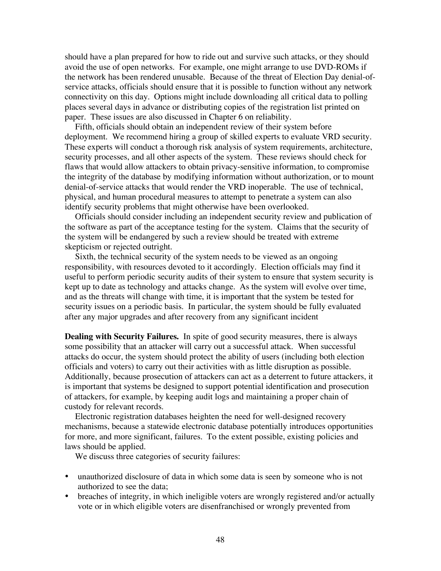should have a plan prepared for how to ride out and survive such attacks, or they should avoid the use of open networks. For example, one might arrange to use DVD-ROMs if the network has been rendered unusable. Because of the threat of Election Day denial-ofservice attacks, officials should ensure that it is possible to function without any network connectivity on this day. Options might include downloading all critical data to polling places several days in advance or distributing copies of the registration list printed on paper. These issues are also discussed in Chapter 6 on reliability.

Fifth, officials should obtain an independent review of their system before deployment. We recommend hiring a group of skilled experts to evaluate VRD security. These experts will conduct a thorough risk analysis of system requirements, architecture, security processes, and all other aspects of the system. These reviews should check for flaws that would allow attackers to obtain privacy-sensitive information, to compromise the integrity of the database by modifying information without authorization, or to mount denial-of-service attacks that would render the VRD inoperable. The use of technical, physical, and human procedural measures to attempt to penetrate a system can also identify security problems that might otherwise have been overlooked.

Officials should consider including an independent security review and publication of the software as part of the acceptance testing for the system. Claims that the security of the system will be endangered by such a review should be treated with extreme skepticism or rejected outright.

Sixth, the technical security of the system needs to be viewed as an ongoing responsibility, with resources devoted to it accordingly. Election officials may find it useful to perform periodic security audits of their system to ensure that system security is kept up to date as technology and attacks change. As the system will evolve over time, and as the threats will change with time, it is important that the system be tested for security issues on a periodic basis. In particular, the system should be fully evaluated after any major upgrades and after recovery from any significant incident

**Dealing with Security Failures.** In spite of good security measures, there is always some possibility that an attacker will carry out a successful attack. When successful attacks do occur, the system should protect the ability of users (including both election officials and voters) to carry out their activities with as little disruption as possible. Additionally, because prosecution of attackers can act as a deterrent to future attackers, it is important that systems be designed to support potential identification and prosecution of attackers, for example, by keeping audit logs and maintaining a proper chain of custody for relevant records.

Electronic registration databases heighten the need for well-designed recovery mechanisms, because a statewide electronic database potentially introduces opportunities for more, and more significant, failures. To the extent possible, existing policies and laws should be applied.

We discuss three categories of security failures:

- unauthorized disclosure of data in which some data is seen by someone who is not authorized to see the data;
- breaches of integrity, in which ineligible voters are wrongly registered and/or actually vote or in which eligible voters are disenfranchised or wrongly prevented from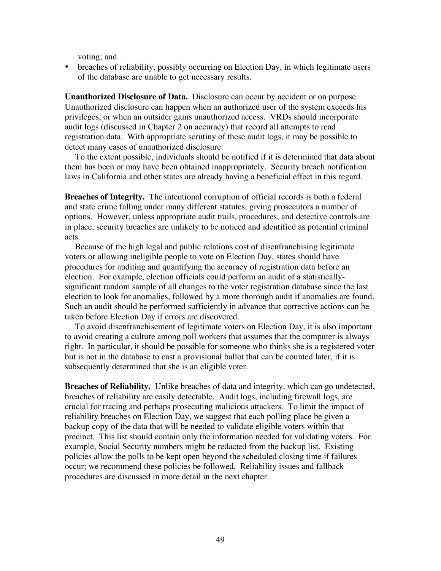voting; and

• breaches of reliability, possibly occurring on Election Day, in which legitimate users of the database are unable to get necessary results.

**Unauthorized Disclosure of Data.** Disclosure can occur by accident or on purpose. Unauthorized disclosure can happen when an authorized user of the system exceeds his privileges, or when an outsider gains unauthorized access. VRDs should incorporate audit logs (discussed in Chapter 2 on accuracy) that record all attempts to read registration data. With appropriate scrutiny of these audit logs, it may be possible to detect many cases of unauthorized disclosure.

To the extent possible, individuals should be notified if it is determined that data about them has been or may have been obtained inappropriately. Security breach notification laws in California and other states are already having a beneficial effect in this regard.

**Breaches of Integrity.** The intentional corruption of official records is both a federal and state crime falling under many different statutes, giving prosecutors a number of options. However, unless appropriate audit trails, procedures, and detective controls are in place, security breaches are unlikely to be noticed and identified as potential criminal acts.

Because of the high legal and public relations cost of disenfranchising legitimate voters or allowing ineligible people to vote on Election Day, states should have procedures for auditing and quantifying the accuracy of registration data before an election. For example, election officials could perform an audit of a statisticallysignificant random sample of all changes to the voter registration database since the last election to look for anomalies, followed by a more thorough audit if anomalies are found. Such an audit should be performed sufficiently in advance that corrective actions can be taken before Election Day if errors are discovered.

To avoid disenfranchisement of legitimate voters on Election Day, it is also important to avoid creating a culture among poll workers that assumes that the computer is always right. In particular, it should be possible for someone who thinks she is a registered voter but is not in the database to cast a provisional ballot that can be counted later, if it is subsequently determined that she is an eligible voter.

**Breaches of Reliability.** Unlike breaches of data and integrity, which can go undetected, breaches of reliability are easily detectable. Audit logs, including firewall logs, are crucial for tracing and perhaps prosecuting malicious attackers. To limit the impact of reliability breaches on Election Day, we suggest that each polling place be given a backup copy of the data that will be needed to validate eligible voters within that precinct. This list should contain only the information needed for validating voters. For example, Social Security numbers might be redacted from the backup list. Existing policies allow the polls to be kept open beyond the scheduled closing time if failures occur; we recommend these policies be followed. Reliability issues and fallback procedures are discussed in more detail in the next chapter.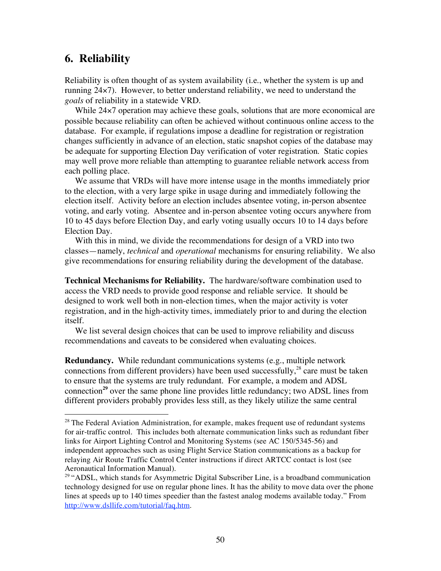## **6. Reliability**

Reliability is often thought of as system availability (i.e., whether the system is up and running 24×7). However, to better understand reliability, we need to understand the *goals* of reliability in a statewide VRD.

While 24×7 operation may achieve these goals, solutions that are more economical are possible because reliability can often be achieved without continuous online access to the database. For example, if regulations impose a deadline for registration or registration changes sufficiently in advance of an election, static snapshot copies of the database may be adequate for supporting Election Day verification of voter registration. Static copies may well prove more reliable than attempting to guarantee reliable network access from each polling place.

We assume that VRDs will have more intense usage in the months immediately prior to the election, with a very large spike in usage during and immediately following the election itself. Activity before an election includes absentee voting, in-person absentee voting, and early voting. Absentee and in-person absentee voting occurs anywhere from 10 to 45 days before Election Day, and early voting usually occurs 10 to 14 days before Election Day.

With this in mind, we divide the recommendations for design of a VRD into two classes—namely, *technical* and *operational* mechanisms for ensuring reliability. We also give recommendations for ensuring reliability during the development of the database.

**Technical Mechanisms for Reliability.** The hardware/software combination used to access the VRD needs to provide good response and reliable service. It should be designed to work well both in non-election times, when the major activity is voter registration, and in the high-activity times, immediately prior to and during the election itself.

We list several design choices that can be used to improve reliability and discuss recommendations and caveats to be considered when evaluating choices.

**Redundancy.** While redundant communications systems (e.g., multiple network connections from different providers) have been used successfully,  $28$  care must be taken to ensure that the systems are truly redundant. For example, a modem and ADSL connection**<sup>29</sup>** over the same phone line provides little redundancy; two ADSL lines from different providers probably provides less still, as they likely utilize the same central

<sup>&</sup>lt;sup>28</sup> The Federal Aviation Administration, for example, makes frequent use of redundant systems for air-traffic control. This includes both alternate communication links such as redundant fiber links for Airport Lighting Control and Monitoring Systems (see AC 150/5345-56) and independent approaches such as using Flight Service Station communications as a backup for relaying Air Route Traffic Control Center instructions if direct ARTCC contact is lost (see Aeronautical Information Manual).

<sup>&</sup>lt;sup>29</sup> "ADSL, which stands for Asymmetric Digital Subscriber Line, is a broadband communication technology designed for use on regular phone lines. It has the ability to move data over the phone lines at speeds up to 140 times speedier than the fastest analog modems available today." From http://www.dsllife.com/tutorial/faq.htm.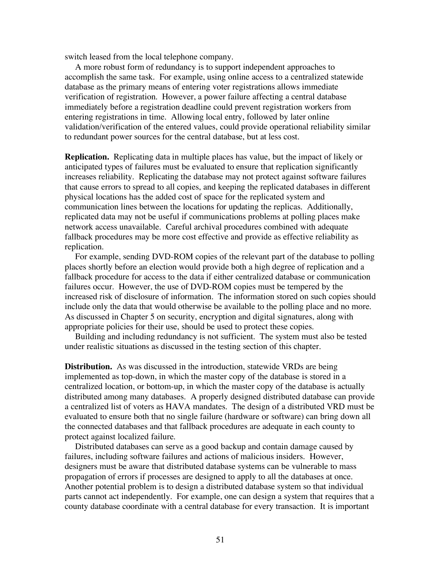switch leased from the local telephone company.

A more robust form of redundancy is to support independent approaches to accomplish the same task. For example, using online access to a centralized statewide database as the primary means of entering voter registrations allows immediate verification of registration. However, a power failure affecting a central database immediately before a registration deadline could prevent registration workers from entering registrations in time. Allowing local entry, followed by later online validation/verification of the entered values, could provide operational reliability similar to redundant power sources for the central database, but at less cost.

**Replication.** Replicating data in multiple places has value, but the impact of likely or anticipated types of failures must be evaluated to ensure that replication significantly increases reliability. Replicating the database may not protect against software failures that cause errors to spread to all copies, and keeping the replicated databases in different physical locations has the added cost of space for the replicated system and communication lines between the locations for updating the replicas. Additionally, replicated data may not be useful if communications problems at polling places make network access unavailable. Careful archival procedures combined with adequate fallback procedures may be more cost effective and provide as effective reliability as replication.

For example, sending DVD-ROM copies of the relevant part of the database to polling places shortly before an election would provide both a high degree of replication and a fallback procedure for access to the data if either centralized database or communication failures occur. However, the use of DVD-ROM copies must be tempered by the increased risk of disclosure of information. The information stored on such copies should include only the data that would otherwise be available to the polling place and no more. As discussed in Chapter 5 on security, encryption and digital signatures, along with appropriate policies for their use, should be used to protect these copies.

Building and including redundancy is not sufficient. The system must also be tested under realistic situations as discussed in the testing section of this chapter.

**Distribution.** As was discussed in the introduction, statewide VRDs are being implemented as top-down, in which the master copy of the database is stored in a centralized location, or bottom-up, in which the master copy of the database is actually distributed among many databases. A properly designed distributed database can provide a centralized list of voters as HAVA mandates. The design of a distributed VRD must be evaluated to ensure both that no single failure (hardware or software) can bring down all the connected databases and that fallback procedures are adequate in each county to protect against localized failure.

Distributed databases can serve as a good backup and contain damage caused by failures, including software failures and actions of malicious insiders. However, designers must be aware that distributed database systems can be vulnerable to mass propagation of errors if processes are designed to apply to all the databases at once. Another potential problem is to design a distributed database system so that individual parts cannot act independently. For example, one can design a system that requires that a county database coordinate with a central database for every transaction. It is important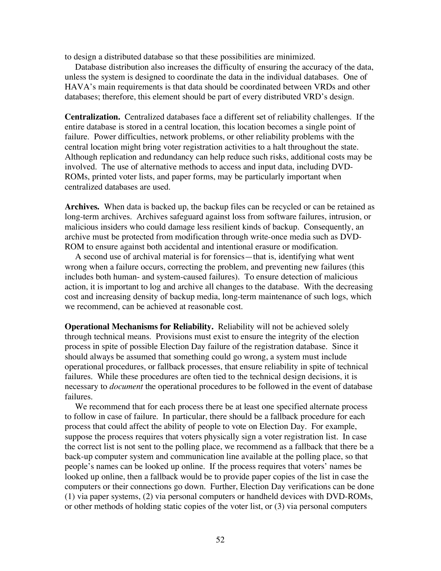to design a distributed database so that these possibilities are minimized.

Database distribution also increases the difficulty of ensuring the accuracy of the data, unless the system is designed to coordinate the data in the individual databases. One of HAVA's main requirements is that data should be coordinated between VRDs and other databases; therefore, this element should be part of every distributed VRD's design.

**Centralization.** Centralized databases face a different set of reliability challenges. If the entire database is stored in a central location, this location becomes a single point of failure. Power difficulties, network problems, or other reliability problems with the central location might bring voter registration activities to a halt throughout the state. Although replication and redundancy can help reduce such risks, additional costs may be involved. The use of alternative methods to access and input data, including DVD-ROMs, printed voter lists, and paper forms, may be particularly important when centralized databases are used.

**Archives.** When data is backed up, the backup files can be recycled or can be retained as long-term archives. Archives safeguard against loss from software failures, intrusion, or malicious insiders who could damage less resilient kinds of backup. Consequently, an archive must be protected from modification through write-once media such as DVD-ROM to ensure against both accidental and intentional erasure or modification.

A second use of archival material is for forensics—that is, identifying what went wrong when a failure occurs, correcting the problem, and preventing new failures (this includes both human- and system-caused failures). To ensure detection of malicious action, it is important to log and archive all changes to the database. With the decreasing cost and increasing density of backup media, long-term maintenance of such logs, which we recommend, can be achieved at reasonable cost.

**Operational Mechanisms for Reliability.** Reliability will not be achieved solely through technical means. Provisions must exist to ensure the integrity of the election process in spite of possible Election Day failure of the registration database. Since it should always be assumed that something could go wrong, a system must include operational procedures, or fallback processes, that ensure reliability in spite of technical failures. While these procedures are often tied to the technical design decisions, it is necessary to *document* the operational procedures to be followed in the event of database failures.

We recommend that for each process there be at least one specified alternate process to follow in case of failure. In particular, there should be a fallback procedure for each process that could affect the ability of people to vote on Election Day. For example, suppose the process requires that voters physically sign a voter registration list. In case the correct list is not sent to the polling place, we recommend as a fallback that there be a back-up computer system and communication line available at the polling place, so that people's names can be looked up online. If the process requires that voters' names be looked up online, then a fallback would be to provide paper copies of the list in case the computers or their connections go down. Further, Election Day verifications can be done (1) via paper systems, (2) via personal computers or handheld devices with DVD-ROMs, or other methods of holding static copies of the voter list, or (3) via personal computers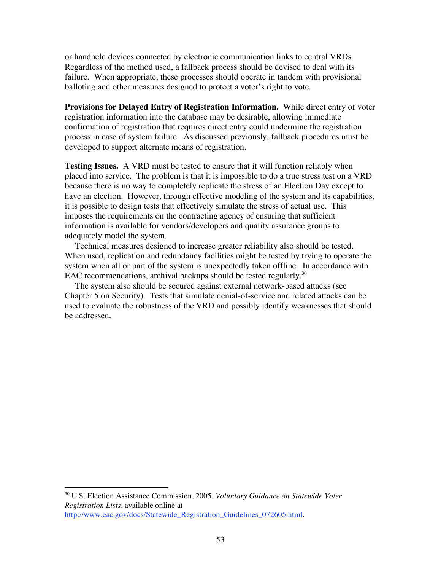or handheld devices connected by electronic communication links to central VRDs. Regardless of the method used, a fallback process should be devised to deal with its failure. When appropriate, these processes should operate in tandem with provisional balloting and other measures designed to protect a voter's right to vote.

**Provisions for Delayed Entry of Registration Information.** While direct entry of voter registration information into the database may be desirable, allowing immediate confirmation of registration that requires direct entry could undermine the registration process in case of system failure. As discussed previously, fallback procedures must be developed to support alternate means of registration.

**Testing Issues.** A VRD must be tested to ensure that it will function reliably when placed into service. The problem is that it is impossible to do a true stress test on a VRD because there is no way to completely replicate the stress of an Election Day except to have an election. However, through effective modeling of the system and its capabilities, it is possible to design tests that effectively simulate the stress of actual use. This imposes the requirements on the contracting agency of ensuring that sufficient information is available for vendors/developers and quality assurance groups to adequately model the system.

Technical measures designed to increase greater reliability also should be tested. When used, replication and redundancy facilities might be tested by trying to operate the system when all or part of the system is unexpectedly taken offline. In accordance with EAC recommendations, archival backups should be tested regularly.<sup>30</sup>

The system also should be secured against external network-based attacks (see Chapter 5 on Security). Tests that simulate denial-of-service and related attacks can be used to evaluate the robustness of the VRD and possibly identify weaknesses that should be addressed.

 30 U.S. Election Assistance Commission, 2005, *Voluntary Guidance on Statewide Voter Registration Lists*, available online at http://www.eac.gov/docs/Statewide Registration Guidelines 072605.html.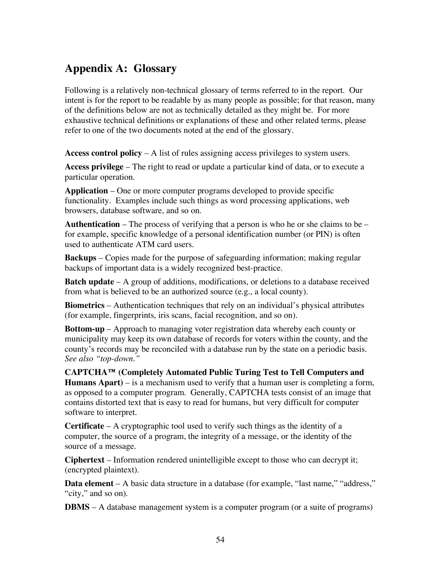# **Appendix A: Glossary**

Following is a relatively non-technical glossary of terms referred to in the report. Our intent is for the report to be readable by as many people as possible; for that reason, many of the definitions below are not as technically detailed as they might be. For more exhaustive technical definitions or explanations of these and other related terms, please refer to one of the two documents noted at the end of the glossary.

**Access control policy** – A list of rules assigning access privileges to system users.

**Access privilege** – The right to read or update a particular kind of data, or to execute a particular operation.

**Application** – One or more computer programs developed to provide specific functionality. Examples include such things as word processing applications, web browsers, database software, and so on.

**Authentication** – The process of verifying that a person is who he or she claims to be – for example, specific knowledge of a personal identification number (or PIN) is often used to authenticate ATM card users.

**Backups** – Copies made for the purpose of safeguarding information; making regular backups of important data is a widely recognized best-practice.

**Batch update** – A group of additions, modifications, or deletions to a database received from what is believed to be an authorized source (e.g., a local county).

**Biometrics** – Authentication techniques that rely on an individual's physical attributes (for example, fingerprints, iris scans, facial recognition, and so on).

**Bottom-up** – Approach to managing voter registration data whereby each county or municipality may keep its own database of records for voters within the county, and the county's records may be reconciled with a database run by the state on a periodic basis. *See also "top-down."*

**CAPTCHA™ (Completely Automated Public Turing Test to Tell Computers and Humans Apart)** – is a mechanism used to verify that a human user is completing a form, as opposed to a computer program. Generally, CAPTCHA tests consist of an image that contains distorted text that is easy to read for humans, but very difficult for computer software to interpret.

**Certificate** – A cryptographic tool used to verify such things as the identity of a computer, the source of a program, the integrity of a message, or the identity of the source of a message.

**Ciphertext** – Information rendered unintelligible except to those who can decrypt it; (encrypted plaintext).

**Data element** – A basic data structure in a database (for example, "last name," "address," "city," and so on).

**DBMS** – A database management system is a computer program (or a suite of programs)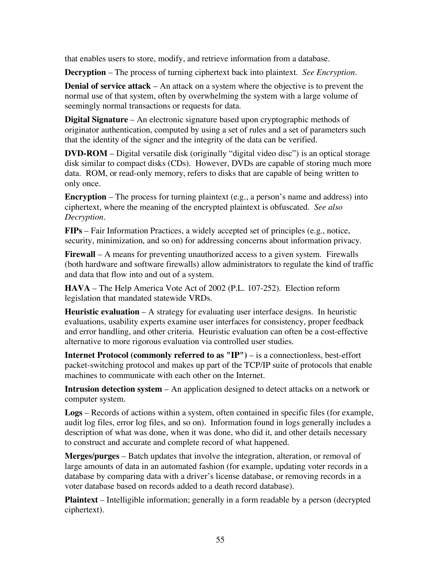that enables users to store, modify, and retrieve information from a database.

**Decryption** – The process of turning ciphertext back into plaintext. *See Encryption.*

**Denial of service attack** – An attack on a system where the objective is to prevent the normal use of that system, often by overwhelming the system with a large volume of seemingly normal transactions or requests for data.

**Digital Signature** – An electronic signature based upon cryptographic methods of originator authentication, computed by using a set of rules and a set of parameters such that the identity of the signer and the integrity of the data can be verified.

**DVD-ROM** – Digital versatile disk (originally "digital video disc") is an optical storage disk similar to compact disks (CDs). However, DVDs are capable of storing much more data. ROM, or read-only memory, refers to disks that are capable of being written to only once.

**Encryption** – The process for turning plaintext (e.g., a person's name and address) into ciphertext, where the meaning of the encrypted plaintext is obfuscated. *See also Decryption.*

**FIPs** – Fair Information Practices, a widely accepted set of principles (e.g., notice, security, minimization, and so on) for addressing concerns about information privacy.

**Firewall** – A means for preventing unauthorized access to a given system. Firewalls (both hardware and software firewalls) allow administrators to regulate the kind of traffic and data that flow into and out of a system.

**HAVA** – The Help America Vote Act of 2002 (P.L. 107-252). Election reform legislation that mandated statewide VRDs.

**Heuristic evaluation** – A strategy for evaluating user interface designs. In heuristic evaluations, usability experts examine user interfaces for consistency, proper feedback and error handling, and other criteria. Heuristic evaluation can often be a cost-effective alternative to more rigorous evaluation via controlled user studies.

**Internet Protocol (commonly referred to as "IP")** – is a connectionless, best-effort packet-switching protocol and makes up part of the TCP/IP suite of protocols that enable machines to communicate with each other on the Internet.

**Intrusion detection system** – An application designed to detect attacks on a network or computer system.

**Logs** – Records of actions within a system, often contained in specific files (for example, audit log files, error log files, and so on). Information found in logs generally includes a description of what was done, when it was done, who did it, and other details necessary to construct and accurate and complete record of what happened.

**Merges/purges** – Batch updates that involve the integration, alteration, or removal of large amounts of data in an automated fashion (for example, updating voter records in a database by comparing data with a driver's license database, or removing records in a voter database based on records added to a death record database).

**Plaintext** – Intelligible information; generally in a form readable by a person (decrypted ciphertext).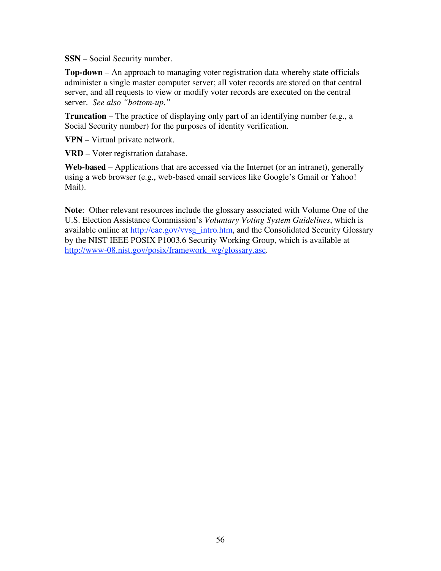**SSN** – Social Security number.

**Top-down** – An approach to managing voter registration data whereby state officials administer a single master computer server; all voter records are stored on that central server, and all requests to view or modify voter records are executed on the central server. *See also "bottom-up."*

**Truncation** – The practice of displaying only part of an identifying number (e.g., a Social Security number) for the purposes of identity verification.

**VPN** – Virtual private network.

**VRD** – Voter registration database.

**Web-based** – Applications that are accessed via the Internet (or an intranet), generally using a web browser (e.g., web-based email services like Google's Gmail or Yahoo! Mail).

**Note**: Other relevant resources include the glossary associated with Volume One of the U.S. Election Assistance Commission's *Voluntary Voting System Guidelines*, which is available online at http://eac.gov/vvsg\_intro.htm, and the Consolidated Security Glossary by the NIST IEEE POSIX P1003.6 Security Working Group, which is available at http://www-08.nist.gov/posix/framework\_wg/glossary.asc.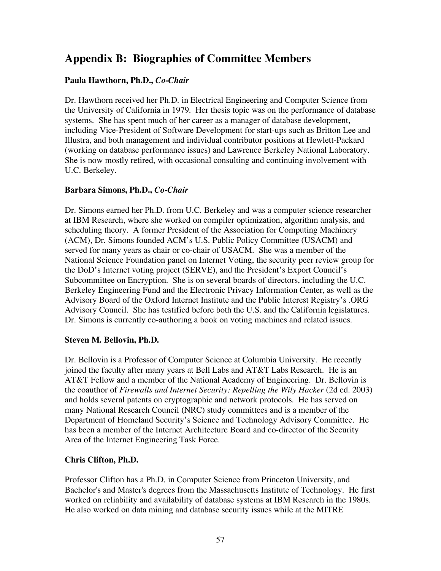# **Appendix B: Biographies of Committee Members**

## **Paula Hawthorn, Ph.D.,** *Co-Chair*

Dr. Hawthorn received her Ph.D. in Electrical Engineering and Computer Science from the University of California in 1979. Her thesis topic was on the performance of database systems. She has spent much of her career as a manager of database development, including Vice-President of Software Development for start-ups such as Britton Lee and Illustra, and both management and individual contributor positions at Hewlett-Packard (working on database performance issues) and Lawrence Berkeley National Laboratory. She is now mostly retired, with occasional consulting and continuing involvement with U.C. Berkeley.

#### **Barbara Simons, Ph.D.,** *Co-Chair*

Dr. Simons earned her Ph.D. from U.C. Berkeley and was a computer science researcher at IBM Research, where she worked on compiler optimization, algorithm analysis, and scheduling theory. A former President of the Association for Computing Machinery (ACM), Dr. Simons founded ACM's U.S. Public Policy Committee (USACM) and served for many years as chair or co-chair of USACM. She was a member of the National Science Foundation panel on Internet Voting, the security peer review group for the DoD's Internet voting project (SERVE), and the President's Export Council's Subcommittee on Encryption. She is on several boards of directors, including the U.C. Berkeley Engineering Fund and the Electronic Privacy Information Center, as well as the Advisory Board of the Oxford Internet Institute and the Public Interest Registry's .ORG Advisory Council. She has testified before both the U.S. and the California legislatures. Dr. Simons is currently co-authoring a book on voting machines and related issues.

#### **Steven M. Bellovin, Ph.D.**

Dr. Bellovin is a Professor of Computer Science at Columbia University. He recently joined the faculty after many years at Bell Labs and AT&T Labs Research. He is an AT&T Fellow and a member of the National Academy of Engineering. Dr. Bellovin is the coauthor of *Firewalls and Internet Security: Repelling the Wily Hacker* (2d ed. 2003) and holds several patents on cryptographic and network protocols. He has served on many National Research Council (NRC) study committees and is a member of the Department of Homeland Security's Science and Technology Advisory Committee. He has been a member of the Internet Architecture Board and co-director of the Security Area of the Internet Engineering Task Force.

#### **Chris Clifton, Ph.D.**

Professor Clifton has a Ph.D. in Computer Science from Princeton University, and Bachelor's and Master's degrees from the Massachusetts Institute of Technology. He first worked on reliability and availability of database systems at IBM Research in the 1980s. He also worked on data mining and database security issues while at the MITRE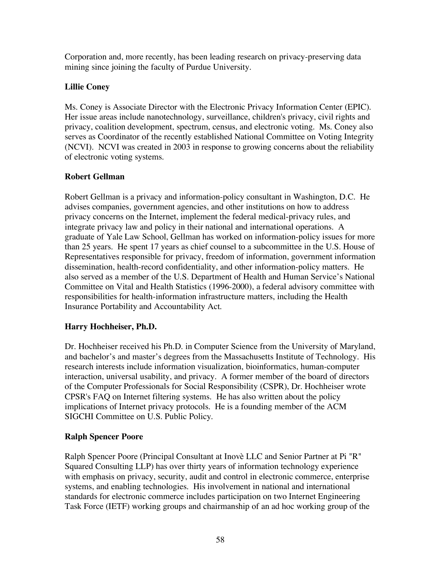Corporation and, more recently, has been leading research on privacy-preserving data mining since joining the faculty of Purdue University.

## **Lillie Coney**

Ms. Coney is Associate Director with the Electronic Privacy Information Center (EPIC). Her issue areas include nanotechnology, surveillance, children's privacy, civil rights and privacy, coalition development, spectrum, census, and electronic voting. Ms. Coney also serves as Coordinator of the recently established National Committee on Voting Integrity (NCVI). NCVI was created in 2003 in response to growing concerns about the reliability of electronic voting systems.

## **Robert Gellman**

Robert Gellman is a privacy and information-policy consultant in Washington, D.C. He advises companies, government agencies, and other institutions on how to address privacy concerns on the Internet, implement the federal medical-privacy rules, and integrate privacy law and policy in their national and international operations. A graduate of Yale Law School, Gellman has worked on information-policy issues for more than 25 years. He spent 17 years as chief counsel to a subcommittee in the U.S. House of Representatives responsible for privacy, freedom of information, government information dissemination, health-record confidentiality, and other information-policy matters. He also served as a member of the U.S. Department of Health and Human Service's National Committee on Vital and Health Statistics (1996-2000), a federal advisory committee with responsibilities for health-information infrastructure matters, including the Health Insurance Portability and Accountability Act.

## **Harry Hochheiser, Ph.D.**

Dr. Hochheiser received his Ph.D. in Computer Science from the University of Maryland, and bachelor's and master's degrees from the Massachusetts Institute of Technology. His research interests include information visualization, bioinformatics, human-computer interaction, universal usability, and privacy. A former member of the board of directors of the Computer Professionals for Social Responsibility (CSPR), Dr. Hochheiser wrote CPSR's FAQ on Internet filtering systems. He has also written about the policy implications of Internet privacy protocols. He is a founding member of the ACM SIGCHI Committee on U.S. Public Policy.

## **Ralph Spencer Poore**

Ralph Spencer Poore (Principal Consultant at Inovè LLC and Senior Partner at Pi "R" Squared Consulting LLP) has over thirty years of information technology experience with emphasis on privacy, security, audit and control in electronic commerce, enterprise systems, and enabling technologies. His involvement in national and international standards for electronic commerce includes participation on two Internet Engineering Task Force (IETF) working groups and chairmanship of an ad hoc working group of the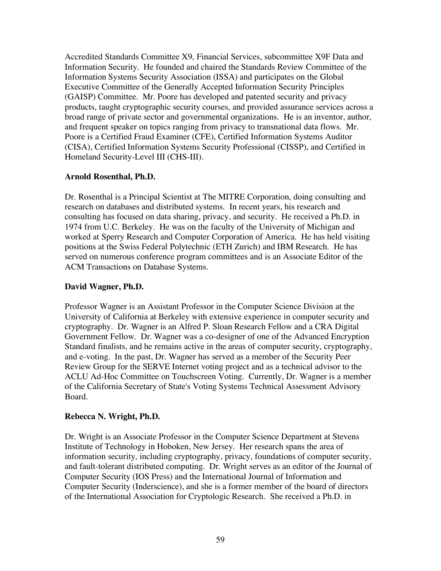Accredited Standards Committee X9, Financial Services, subcommittee X9F Data and Information Security. He founded and chaired the Standards Review Committee of the Information Systems Security Association (ISSA) and participates on the Global Executive Committee of the Generally Accepted Information Security Principles (GAISP) Committee. Mr. Poore has developed and patented security and privacy products, taught cryptographic security courses, and provided assurance services across a broad range of private sector and governmental organizations. He is an inventor, author, and frequent speaker on topics ranging from privacy to transnational data flows. Mr. Poore is a Certified Fraud Examiner (CFE), Certified Information Systems Auditor (CISA), Certified Information Systems Security Professional (CISSP), and Certified in Homeland Security-Level III (CHS-III).

#### **Arnold Rosenthal, Ph.D.**

Dr. Rosenthal is a Principal Scientist at The MITRE Corporation, doing consulting and research on databases and distributed systems. In recent years, his research and consulting has focused on data sharing, privacy, and security. He received a Ph.D. in 1974 from U.C. Berkeley. He was on the faculty of the University of Michigan and worked at Sperry Research and Computer Corporation of America. He has held visiting positions at the Swiss Federal Polytechnic (ETH Zurich) and IBM Research. He has served on numerous conference program committees and is an Associate Editor of the ACM Transactions on Database Systems.

#### **David Wagner, Ph.D.**

Professor Wagner is an Assistant Professor in the Computer Science Division at the University of California at Berkeley with extensive experience in computer security and cryptography. Dr. Wagner is an Alfred P. Sloan Research Fellow and a CRA Digital Government Fellow. Dr. Wagner was a co-designer of one of the Advanced Encryption Standard finalists, and he remains active in the areas of computer security, cryptography, and e-voting. In the past, Dr. Wagner has served as a member of the Security Peer Review Group for the SERVE Internet voting project and as a technical advisor to the ACLU Ad-Hoc Committee on Touchscreen Voting. Currently, Dr. Wagner is a member of the California Secretary of State's Voting Systems Technical Assessment Advisory Board.

#### **Rebecca N. Wright, Ph.D.**

Dr. Wright is an Associate Professor in the Computer Science Department at Stevens Institute of Technology in Hoboken, New Jersey. Her research spans the area of information security, including cryptography, privacy, foundations of computer security, and fault-tolerant distributed computing. Dr. Wright serves as an editor of the Journal of Computer Security (IOS Press) and the International Journal of Information and Computer Security (Inderscience), and she is a former member of the board of directors of the International Association for Cryptologic Research. She received a Ph.D. in